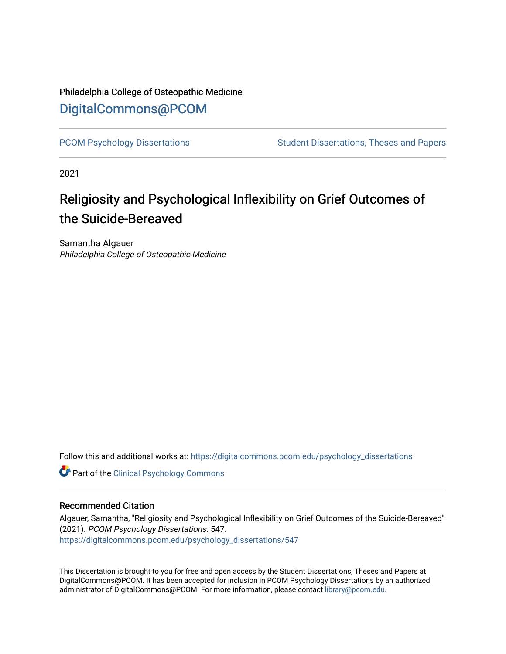## Philadelphia College of Osteopathic Medicine [DigitalCommons@PCOM](https://digitalcommons.pcom.edu/)

[PCOM Psychology Dissertations](https://digitalcommons.pcom.edu/psychology_dissertations) Student Dissertations, Theses and Papers

2021

# Religiosity and Psychological Inflexibility on Grief Outcomes of the Suicide-Bereaved

Samantha Algauer Philadelphia College of Osteopathic Medicine

Follow this and additional works at: [https://digitalcommons.pcom.edu/psychology\\_dissertations](https://digitalcommons.pcom.edu/psychology_dissertations?utm_source=digitalcommons.pcom.edu%2Fpsychology_dissertations%2F547&utm_medium=PDF&utm_campaign=PDFCoverPages)

**Part of the Clinical Psychology Commons** 

#### Recommended Citation

Algauer, Samantha, "Religiosity and Psychological Inflexibility on Grief Outcomes of the Suicide-Bereaved" (2021). PCOM Psychology Dissertations. 547. [https://digitalcommons.pcom.edu/psychology\\_dissertations/547](https://digitalcommons.pcom.edu/psychology_dissertations/547?utm_source=digitalcommons.pcom.edu%2Fpsychology_dissertations%2F547&utm_medium=PDF&utm_campaign=PDFCoverPages) 

This Dissertation is brought to you for free and open access by the Student Dissertations, Theses and Papers at DigitalCommons@PCOM. It has been accepted for inclusion in PCOM Psychology Dissertations by an authorized administrator of DigitalCommons@PCOM. For more information, please contact [library@pcom.edu.](mailto:library@pcom.edu)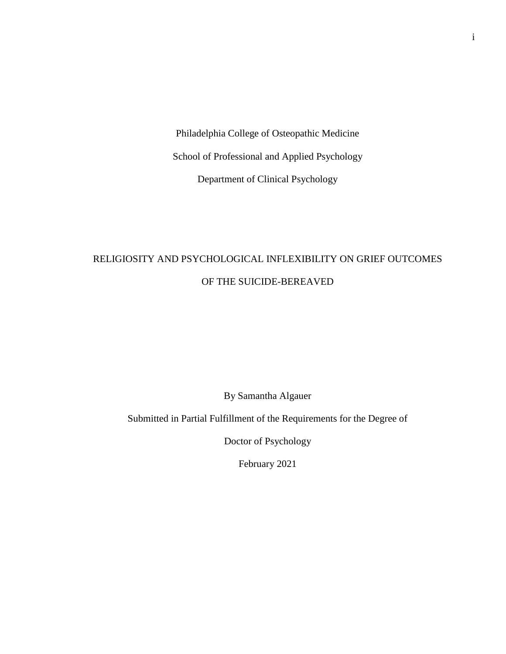Philadelphia College of Osteopathic Medicine School of Professional and Applied Psychology Department of Clinical Psychology

## RELIGIOSITY AND PSYCHOLOGICAL INFLEXIBILITY ON GRIEF OUTCOMES OF THE SUICIDE-BEREAVED

By Samantha Algauer

Submitted in Partial Fulfillment of the Requirements for the Degree of

Doctor of Psychology

February 2021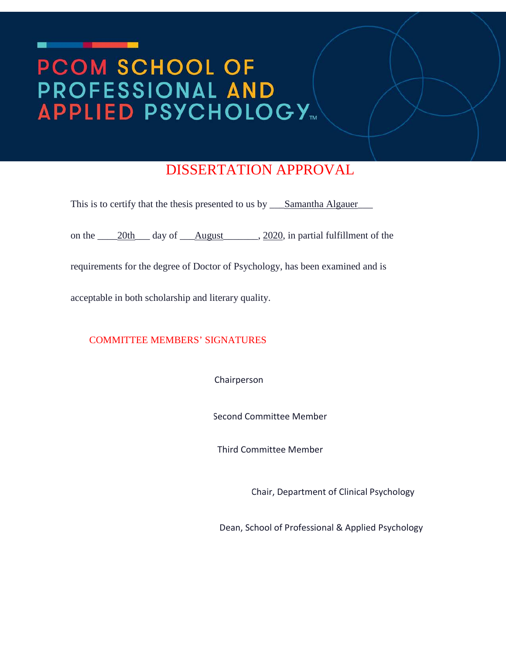# PCOM SCHOOL OF PROFESSIONAL AND **APPLIED PSYCHOLOGY**

## DISSERTATION APPROVAL

This is to certify that the thesis presented to us by <u>Samantha Algauer</u>

on the \_\_\_\_20th\_\_\_ day of \_\_\_August\_\_\_\_\_\_, 2020, in partial fulfillment of the

requirements for the degree of Doctor of Psychology, has been examined and is

acceptable in both scholarship and literary quality.

COMMITTEE MEMBERS' SIGNATURES

Chairperson

Second Committee Member

Third Committee Member

Chair, Department of Clinical Psychology

Dean, School of Professional & Applied Psychology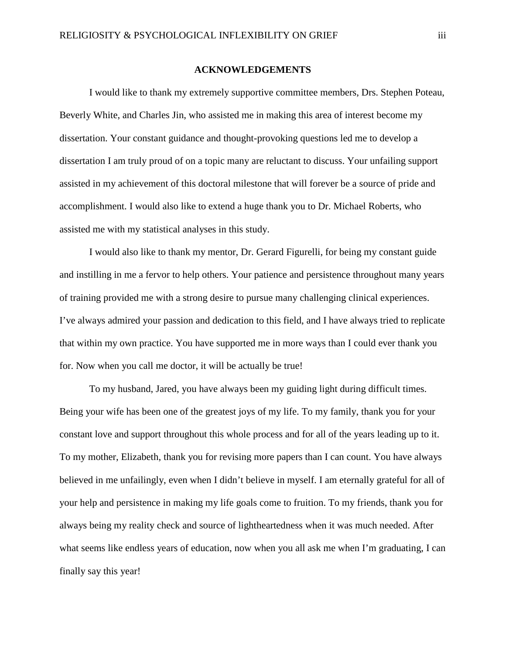#### **ACKNOWLEDGEMENTS**

I would like to thank my extremely supportive committee members, Drs. Stephen Poteau, Beverly White, and Charles Jin, who assisted me in making this area of interest become my dissertation. Your constant guidance and thought-provoking questions led me to develop a dissertation I am truly proud of on a topic many are reluctant to discuss. Your unfailing support assisted in my achievement of this doctoral milestone that will forever be a source of pride and accomplishment. I would also like to extend a huge thank you to Dr. Michael Roberts, who assisted me with my statistical analyses in this study.

I would also like to thank my mentor, Dr. Gerard Figurelli, for being my constant guide and instilling in me a fervor to help others. Your patience and persistence throughout many years of training provided me with a strong desire to pursue many challenging clinical experiences. I've always admired your passion and dedication to this field, and I have always tried to replicate that within my own practice. You have supported me in more ways than I could ever thank you for. Now when you call me doctor, it will be actually be true!

To my husband, Jared, you have always been my guiding light during difficult times. Being your wife has been one of the greatest joys of my life. To my family, thank you for your constant love and support throughout this whole process and for all of the years leading up to it. To my mother, Elizabeth, thank you for revising more papers than I can count. You have always believed in me unfailingly, even when I didn't believe in myself. I am eternally grateful for all of your help and persistence in making my life goals come to fruition. To my friends, thank you for always being my reality check and source of lightheartedness when it was much needed. After what seems like endless years of education, now when you all ask me when I'm graduating, I can finally say this year!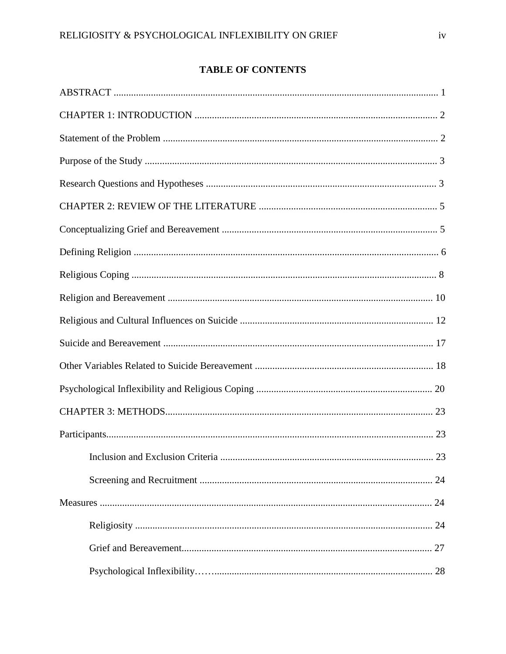### **TABLE OF CONTENTS**

| 23 |
|----|
|    |
|    |
|    |
|    |
|    |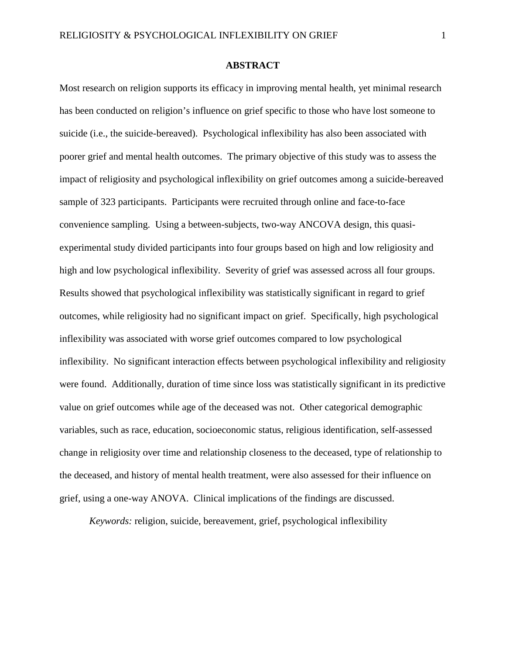#### **ABSTRACT**

Most research on religion supports its efficacy in improving mental health, yet minimal research has been conducted on religion's influence on grief specific to those who have lost someone to suicide (i.e., the suicide-bereaved). Psychological inflexibility has also been associated with poorer grief and mental health outcomes. The primary objective of this study was to assess the impact of religiosity and psychological inflexibility on grief outcomes among a suicide-bereaved sample of 323 participants. Participants were recruited through online and face-to-face convenience sampling. Using a between-subjects, two-way ANCOVA design, this quasiexperimental study divided participants into four groups based on high and low religiosity and high and low psychological inflexibility. Severity of grief was assessed across all four groups. Results showed that psychological inflexibility was statistically significant in regard to grief outcomes, while religiosity had no significant impact on grief. Specifically, high psychological inflexibility was associated with worse grief outcomes compared to low psychological inflexibility. No significant interaction effects between psychological inflexibility and religiosity were found. Additionally, duration of time since loss was statistically significant in its predictive value on grief outcomes while age of the deceased was not. Other categorical demographic variables, such as race, education, socioeconomic status, religious identification, self-assessed change in religiosity over time and relationship closeness to the deceased, type of relationship to the deceased, and history of mental health treatment, were also assessed for their influence on grief, using a one-way ANOVA. Clinical implications of the findings are discussed.

*Keywords:* religion, suicide, bereavement, grief, psychological inflexibility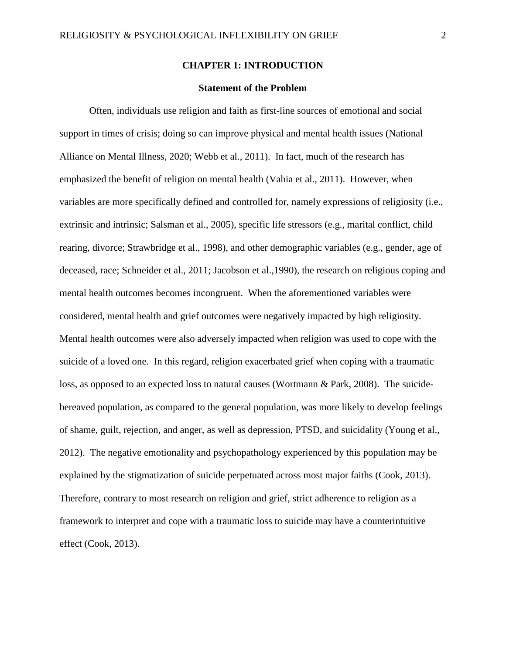#### **CHAPTER 1: INTRODUCTION**

#### **Statement of the Problem**

Often, individuals use religion and faith as first-line sources of emotional and social support in times of crisis; doing so can improve physical and mental health issues (National Alliance on Mental Illness, 2020; Webb et al., 2011). In fact, much of the research has emphasized the benefit of religion on mental health (Vahia et al., 2011). However, when variables are more specifically defined and controlled for, namely expressions of religiosity (i.e., extrinsic and intrinsic; Salsman et al., 2005), specific life stressors (e.g., marital conflict, child rearing, divorce; Strawbridge et al., 1998), and other demographic variables (e.g., gender, age of deceased, race; Schneider et al., 2011; Jacobson et al.,1990), the research on religious coping and mental health outcomes becomes incongruent. When the aforementioned variables were considered, mental health and grief outcomes were negatively impacted by high religiosity. Mental health outcomes were also adversely impacted when religion was used to cope with the suicide of a loved one. In this regard, religion exacerbated grief when coping with a traumatic loss, as opposed to an expected loss to natural causes (Wortmann & Park, 2008). The suicidebereaved population, as compared to the general population, was more likely to develop feelings of shame, guilt, rejection, and anger, as well as depression, PTSD, and suicidality (Young et al., 2012). The negative emotionality and psychopathology experienced by this population may be explained by the stigmatization of suicide perpetuated across most major faiths (Cook, 2013). Therefore, contrary to most research on religion and grief, strict adherence to religion as a framework to interpret and cope with a traumatic loss to suicide may have a counterintuitive effect (Cook, 2013).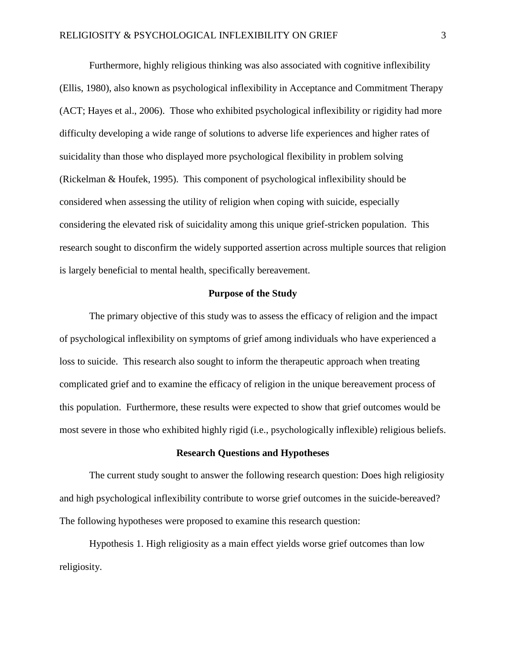Furthermore, highly religious thinking was also associated with cognitive inflexibility (Ellis, 1980), also known as psychological inflexibility in Acceptance and Commitment Therapy (ACT; Hayes et al., 2006). Those who exhibited psychological inflexibility or rigidity had more difficulty developing a wide range of solutions to adverse life experiences and higher rates of suicidality than those who displayed more psychological flexibility in problem solving (Rickelman & Houfek, 1995). This component of psychological inflexibility should be considered when assessing the utility of religion when coping with suicide, especially considering the elevated risk of suicidality among this unique grief-stricken population. This research sought to disconfirm the widely supported assertion across multiple sources that religion is largely beneficial to mental health, specifically bereavement.

#### **Purpose of the Study**

The primary objective of this study was to assess the efficacy of religion and the impact of psychological inflexibility on symptoms of grief among individuals who have experienced a loss to suicide.This research also sought to inform the therapeutic approach when treating complicated grief and to examine the efficacy of religion in the unique bereavement process of this population. Furthermore, these results were expected to show that grief outcomes would be most severe in those who exhibited highly rigid (i.e., psychologically inflexible) religious beliefs.

#### **Research Questions and Hypotheses**

The current study sought to answer the following research question: Does high religiosity and high psychological inflexibility contribute to worse grief outcomes in the suicide-bereaved? The following hypotheses were proposed to examine this research question:

Hypothesis 1. High religiosity as a main effect yields worse grief outcomes than low religiosity.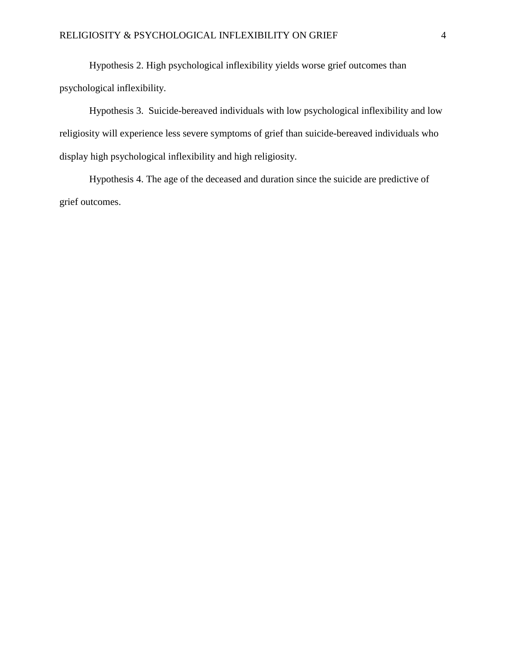Hypothesis 2. High psychological inflexibility yields worse grief outcomes than psychological inflexibility.

Hypothesis 3. Suicide-bereaved individuals with low psychological inflexibility and low religiosity will experience less severe symptoms of grief than suicide-bereaved individuals who display high psychological inflexibility and high religiosity.

Hypothesis 4. The age of the deceased and duration since the suicide are predictive of grief outcomes.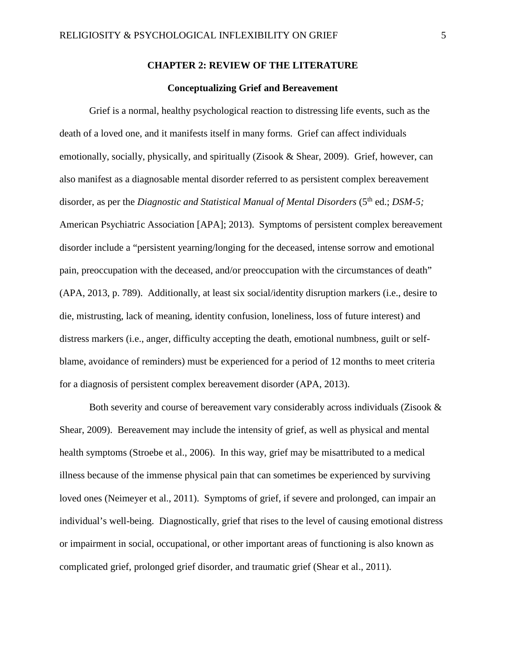#### **CHAPTER 2: REVIEW OF THE LITERATURE**

#### **Conceptualizing Grief and Bereavement**

Grief is a normal, healthy psychological reaction to distressing life events, such as the death of a loved one, and it manifests itself in many forms. Grief can affect individuals emotionally, socially, physically, and spiritually (Zisook & Shear, 2009). Grief, however, can also manifest as a diagnosable mental disorder referred to as persistent complex bereavement disorder, as per the *Diagnostic and Statistical Manual of Mental Disorders* (5<sup>th</sup> ed.; *DSM-5*; American Psychiatric Association [APA]; 2013). Symptoms of persistent complex bereavement disorder include a "persistent yearning/longing for the deceased, intense sorrow and emotional pain, preoccupation with the deceased, and/or preoccupation with the circumstances of death" (APA, 2013, p. 789). Additionally, at least six social/identity disruption markers (i.e., desire to die, mistrusting, lack of meaning, identity confusion, loneliness, loss of future interest) and distress markers (i.e., anger, difficulty accepting the death, emotional numbness, guilt or selfblame, avoidance of reminders) must be experienced for a period of 12 months to meet criteria for a diagnosis of persistent complex bereavement disorder (APA, 2013).

Both severity and course of bereavement vary considerably across individuals (Zisook & Shear, 2009). Bereavement may include the intensity of grief, as well as physical and mental health symptoms (Stroebe et al., 2006). In this way, grief may be misattributed to a medical illness because of the immense physical pain that can sometimes be experienced by surviving loved ones (Neimeyer et al., 2011). Symptoms of grief, if severe and prolonged, can impair an individual's well-being. Diagnostically, grief that rises to the level of causing emotional distress or impairment in social, occupational, or other important areas of functioning is also known as complicated grief, prolonged grief disorder, and traumatic grief (Shear et al., 2011).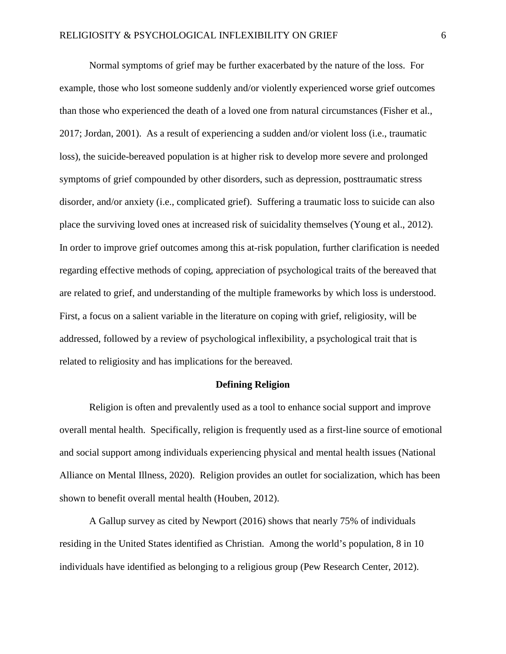Normal symptoms of grief may be further exacerbated by the nature of the loss. For example, those who lost someone suddenly and/or violently experienced worse grief outcomes than those who experienced the death of a loved one from natural circumstances (Fisher et al., 2017; Jordan, 2001). As a result of experiencing a sudden and/or violent loss (i.e., traumatic loss), the suicide-bereaved population is at higher risk to develop more severe and prolonged symptoms of grief compounded by other disorders, such as depression, posttraumatic stress disorder, and/or anxiety (i.e., complicated grief). Suffering a traumatic loss to suicide can also place the surviving loved ones at increased risk of suicidality themselves (Young et al., 2012). In order to improve grief outcomes among this at-risk population, further clarification is needed regarding effective methods of coping, appreciation of psychological traits of the bereaved that are related to grief, and understanding of the multiple frameworks by which loss is understood. First, a focus on a salient variable in the literature on coping with grief, religiosity, will be addressed, followed by a review of psychological inflexibility, a psychological trait that is related to religiosity and has implications for the bereaved.

#### **Defining Religion**

Religion is often and prevalently used as a tool to enhance social support and improve overall mental health. Specifically, religion is frequently used as a first-line source of emotional and social support among individuals experiencing physical and mental health issues (National Alliance on Mental Illness, 2020). Religion provides an outlet for socialization, which has been shown to benefit overall mental health (Houben, 2012).

A Gallup survey as cited by Newport (2016) shows that nearly 75% of individuals residing in the United States identified as Christian. Among the world's population, 8 in 10 individuals have identified as belonging to a religious group (Pew Research Center, 2012).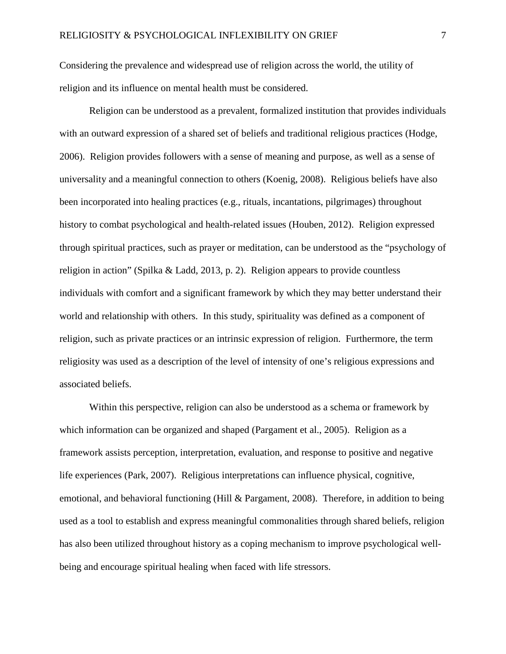Considering the prevalence and widespread use of religion across the world, the utility of religion and its influence on mental health must be considered.

Religion can be understood as a prevalent, formalized institution that provides individuals with an outward expression of a shared set of beliefs and traditional religious practices (Hodge, 2006). Religion provides followers with a sense of meaning and purpose, as well as a sense of universality and a meaningful connection to others (Koenig, 2008). Religious beliefs have also been incorporated into healing practices (e.g., rituals, incantations, pilgrimages) throughout history to combat psychological and health-related issues (Houben, 2012). Religion expressed through spiritual practices, such as prayer or meditation, can be understood as the "psychology of religion in action" (Spilka & Ladd, 2013, p. 2). Religion appears to provide countless individuals with comfort and a significant framework by which they may better understand their world and relationship with others. In this study, spirituality was defined as a component of religion, such as private practices or an intrinsic expression of religion. Furthermore, the term religiosity was used as a description of the level of intensity of one's religious expressions and associated beliefs.

Within this perspective, religion can also be understood as a schema or framework by which information can be organized and shaped (Pargament et al., 2005). Religion as a framework assists perception, interpretation, evaluation, and response to positive and negative life experiences (Park, 2007). Religious interpretations can influence physical, cognitive, emotional, and behavioral functioning (Hill & Pargament, 2008). Therefore, in addition to being used as a tool to establish and express meaningful commonalities through shared beliefs, religion has also been utilized throughout history as a coping mechanism to improve psychological wellbeing and encourage spiritual healing when faced with life stressors.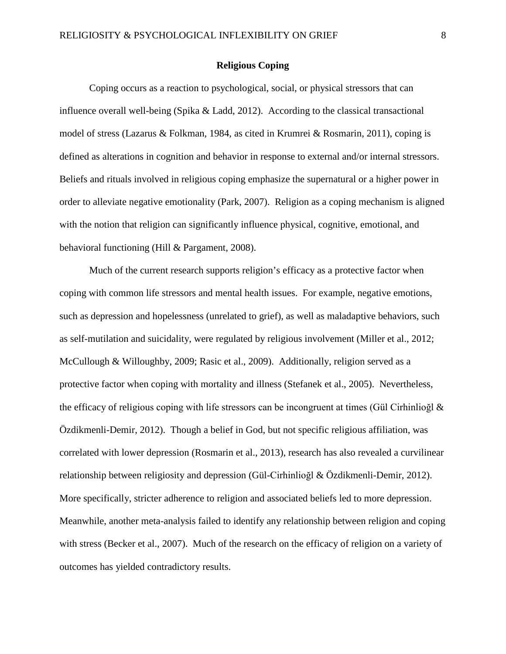#### **Religious Coping**

Coping occurs as a reaction to psychological, social, or physical stressors that can influence overall well-being (Spika & Ladd, 2012). According to the classical transactional model of stress (Lazarus & Folkman, 1984, as cited in Krumrei & Rosmarin, 2011), coping is defined as alterations in cognition and behavior in response to external and/or internal stressors. Beliefs and rituals involved in religious coping emphasize the supernatural or a higher power in order to alleviate negative emotionality (Park, 2007). Religion as a coping mechanism is aligned with the notion that religion can significantly influence physical, cognitive, emotional, and behavioral functioning (Hill & Pargament, 2008).

Much of the current research supports religion's efficacy as a protective factor when coping with common life stressors and mental health issues. For example, negative emotions, such as depression and hopelessness (unrelated to grief), as well as maladaptive behaviors, such as self-mutilation and suicidality, were regulated by religious involvement (Miller et al., 2012; McCullough & Willoughby, 2009; Rasic et al., 2009). Additionally, religion served as a protective factor when coping with mortality and illness (Stefanek et al., 2005). Nevertheless, the efficacy of religious coping with life stressors can be incongruent at times (Gül Cirhinlioğl & Özdikmenli-Demir, 2012). Though a belief in God, but not specific religious affiliation, was correlated with lower depression (Rosmarin et al., 2013), research has also revealed a curvilinear relationship between religiosity and depression (Gül-Cirhinlioğl & Özdikmenli-Demir, 2012). More specifically, stricter adherence to religion and associated beliefs led to more depression. Meanwhile, another meta-analysis failed to identify any relationship between religion and coping with stress (Becker et al., 2007). Much of the research on the efficacy of religion on a variety of outcomes has yielded contradictory results.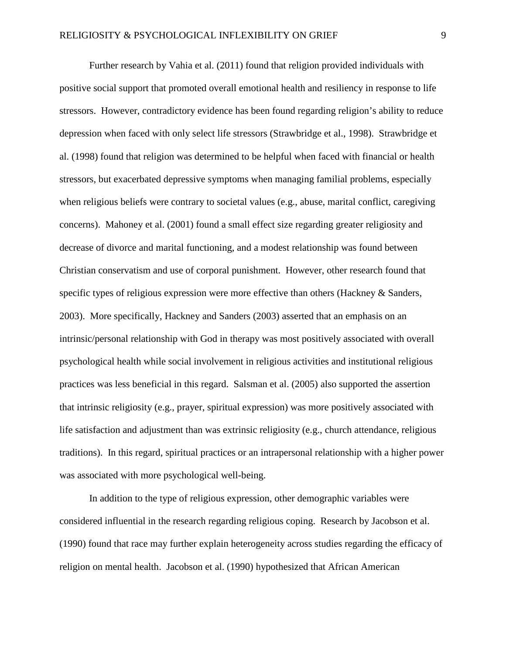Further research by Vahia et al. (2011) found that religion provided individuals with positive social support that promoted overall emotional health and resiliency in response to life stressors. However, contradictory evidence has been found regarding religion's ability to reduce depression when faced with only select life stressors (Strawbridge et al., 1998). Strawbridge et al. (1998) found that religion was determined to be helpful when faced with financial or health stressors, but exacerbated depressive symptoms when managing familial problems, especially when religious beliefs were contrary to societal values (e.g., abuse, marital conflict, caregiving concerns). Mahoney et al. (2001) found a small effect size regarding greater religiosity and decrease of divorce and marital functioning, and a modest relationship was found between Christian conservatism and use of corporal punishment. However, other research found that specific types of religious expression were more effective than others (Hackney & Sanders, 2003). More specifically, Hackney and Sanders (2003) asserted that an emphasis on an intrinsic/personal relationship with God in therapy was most positively associated with overall psychological health while social involvement in religious activities and institutional religious practices was less beneficial in this regard. Salsman et al. (2005) also supported the assertion that intrinsic religiosity (e.g., prayer, spiritual expression) was more positively associated with life satisfaction and adjustment than was extrinsic religiosity (e.g., church attendance, religious traditions). In this regard, spiritual practices or an intrapersonal relationship with a higher power was associated with more psychological well-being.

In addition to the type of religious expression, other demographic variables were considered influential in the research regarding religious coping. Research by Jacobson et al. (1990) found that race may further explain heterogeneity across studies regarding the efficacy of religion on mental health. Jacobson et al. (1990) hypothesized that African American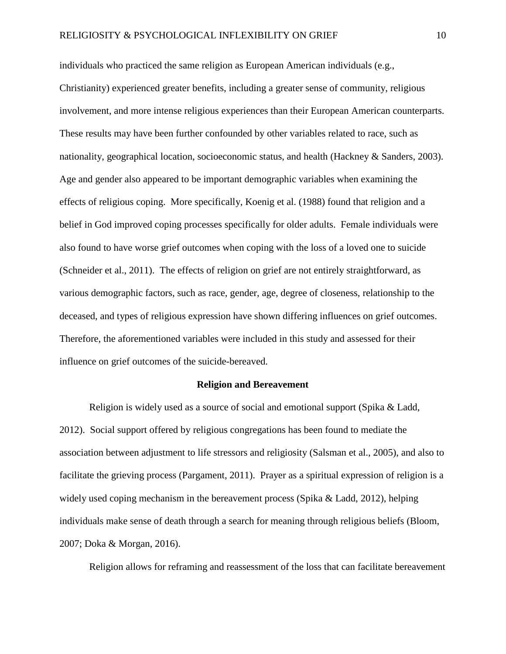individuals who practiced the same religion as European American individuals (e.g., Christianity) experienced greater benefits, including a greater sense of community, religious involvement, and more intense religious experiences than their European American counterparts. These results may have been further confounded by other variables related to race, such as nationality, geographical location, socioeconomic status, and health (Hackney & Sanders, 2003). Age and gender also appeared to be important demographic variables when examining the effects of religious coping. More specifically, Koenig et al. (1988) found that religion and a belief in God improved coping processes specifically for older adults. Female individuals were also found to have worse grief outcomes when coping with the loss of a loved one to suicide (Schneider et al., 2011). The effects of religion on grief are not entirely straightforward, as various demographic factors, such as race, gender, age, degree of closeness, relationship to the deceased, and types of religious expression have shown differing influences on grief outcomes. Therefore, the aforementioned variables were included in this study and assessed for their influence on grief outcomes of the suicide-bereaved.

#### **Religion and Bereavement**

Religion is widely used as a source of social and emotional support (Spika & Ladd, 2012). Social support offered by religious congregations has been found to mediate the association between adjustment to life stressors and religiosity (Salsman et al., 2005), and also to facilitate the grieving process (Pargament, 2011). Prayer as a spiritual expression of religion is a widely used coping mechanism in the bereavement process (Spika & Ladd, 2012), helping individuals make sense of death through a search for meaning through religious beliefs (Bloom, 2007; Doka & Morgan, 2016).

Religion allows for reframing and reassessment of the loss that can facilitate bereavement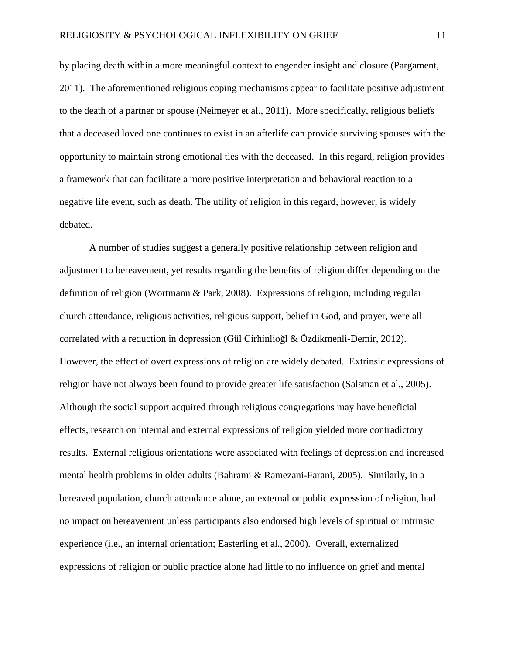by placing death within a more meaningful context to engender insight and closure (Pargament, 2011). The aforementioned religious coping mechanisms appear to facilitate positive adjustment to the death of a partner or spouse (Neimeyer et al., 2011). More specifically, religious beliefs that a deceased loved one continues to exist in an afterlife can provide surviving spouses with the opportunity to maintain strong emotional ties with the deceased. In this regard, religion provides a framework that can facilitate a more positive interpretation and behavioral reaction to a negative life event, such as death. The utility of religion in this regard, however, is widely debated.

A number of studies suggest a generally positive relationship between religion and adjustment to bereavement, yet results regarding the benefits of religion differ depending on the definition of religion (Wortmann & Park, 2008).Expressions of religion, including regular church attendance, religious activities, religious support, belief in God, and prayer, were all correlated with a reduction in depression (Gül Cirhinlioğl & Özdikmenli-Demir, 2012). However, the effect of overt expressions of religion are widely debated. Extrinsic expressions of religion have not always been found to provide greater life satisfaction (Salsman et al., 2005). Although the social support acquired through religious congregations may have beneficial effects, research on internal and external expressions of religion yielded more contradictory results. External religious orientations were associated with feelings of depression and increased mental health problems in older adults (Bahrami & Ramezani-Farani, 2005). Similarly, in a bereaved population, church attendance alone, an external or public expression of religion, had no impact on bereavement unless participants also endorsed high levels of spiritual or intrinsic experience (i.e., an internal orientation; Easterling et al., 2000). Overall, externalized expressions of religion or public practice alone had little to no influence on grief and mental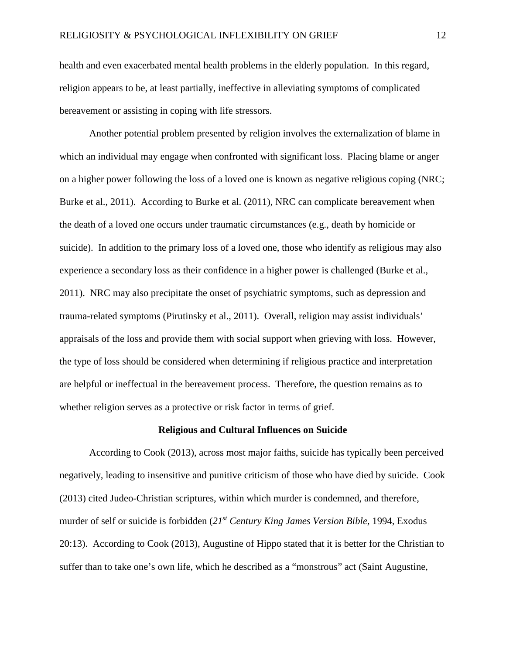health and even exacerbated mental health problems in the elderly population. In this regard, religion appears to be, at least partially, ineffective in alleviating symptoms of complicated bereavement or assisting in coping with life stressors.

Another potential problem presented by religion involves the externalization of blame in which an individual may engage when confronted with significant loss. Placing blame or anger on a higher power following the loss of a loved one is known as negative religious coping (NRC; Burke et al., 2011). According to Burke et al. (2011), NRC can complicate bereavement when the death of a loved one occurs under traumatic circumstances (e.g., death by homicide or suicide). In addition to the primary loss of a loved one, those who identify as religious may also experience a secondary loss as their confidence in a higher power is challenged (Burke et al., 2011). NRC may also precipitate the onset of psychiatric symptoms, such as depression and trauma-related symptoms (Pirutinsky et al., 2011). Overall, religion may assist individuals' appraisals of the loss and provide them with social support when grieving with loss. However, the type of loss should be considered when determining if religious practice and interpretation are helpful or ineffectual in the bereavement process. Therefore, the question remains as to whether religion serves as a protective or risk factor in terms of grief.

#### **Religious and Cultural Influences on Suicide**

According to Cook (2013), across most major faiths, suicide has typically been perceived negatively, leading to insensitive and punitive criticism of those who have died by suicide. Cook (2013) cited Judeo-Christian scriptures, within which murder is condemned, and therefore, murder of self or suicide is forbidden (*21st Century King James Version Bible,* 1994, Exodus 20:13). According to Cook (2013), Augustine of Hippo stated that it is better for the Christian to suffer than to take one's own life, which he described as a "monstrous" act (Saint Augustine,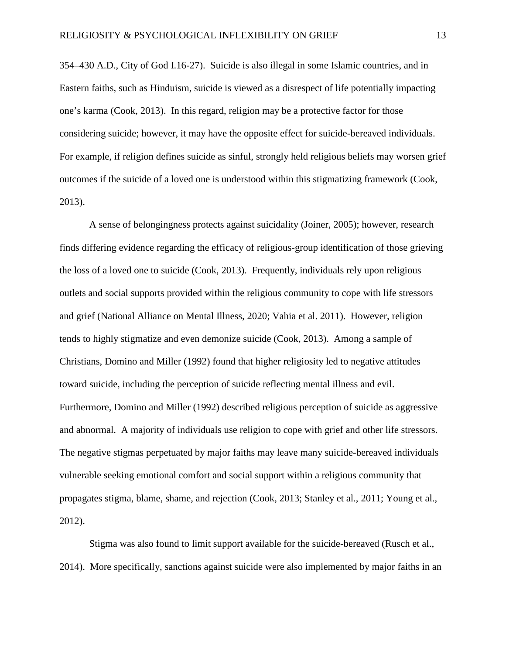354–430 A.D., City of God I.16-27). Suicide is also illegal in some Islamic countries, and in Eastern faiths, such as Hinduism, suicide is viewed as a disrespect of life potentially impacting one's karma (Cook, 2013). In this regard, religion may be a protective factor for those considering suicide; however, it may have the opposite effect for suicide-bereaved individuals. For example, if religion defines suicide as sinful, strongly held religious beliefs may worsen grief outcomes if the suicide of a loved one is understood within this stigmatizing framework (Cook, 2013).

A sense of belongingness protects against suicidality (Joiner, 2005); however, research finds differing evidence regarding the efficacy of religious-group identification of those grieving the loss of a loved one to suicide (Cook, 2013). Frequently, individuals rely upon religious outlets and social supports provided within the religious community to cope with life stressors and grief (National Alliance on Mental Illness, 2020; Vahia et al. 2011). However, religion tends to highly stigmatize and even demonize suicide (Cook, 2013). Among a sample of Christians, Domino and Miller (1992) found that higher religiosity led to negative attitudes toward suicide, including the perception of suicide reflecting mental illness and evil. Furthermore, Domino and Miller (1992) described religious perception of suicide as aggressive and abnormal. A majority of individuals use religion to cope with grief and other life stressors. The negative stigmas perpetuated by major faiths may leave many suicide-bereaved individuals vulnerable seeking emotional comfort and social support within a religious community that propagates stigma, blame, shame, and rejection (Cook, 2013; Stanley et al., 2011; Young et al., 2012).

Stigma was also found to limit support available for the suicide-bereaved (Rusch et al., 2014). More specifically, sanctions against suicide were also implemented by major faiths in an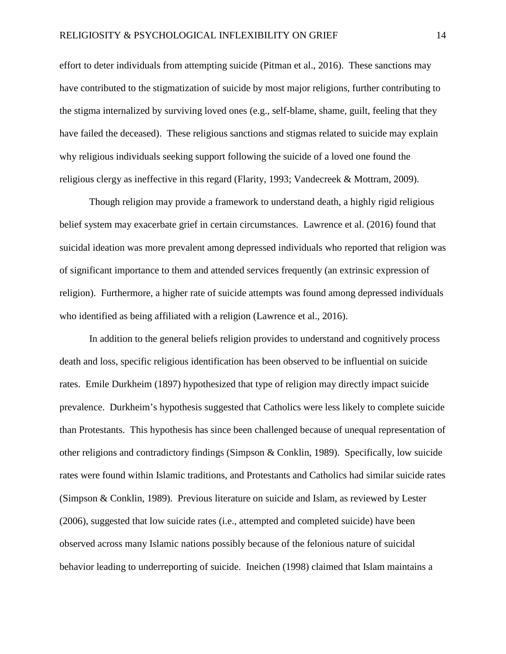effort to deter individuals from attempting suicide (Pitman et al., 2016). These sanctions may have contributed to the stigmatization of suicide by most major religions, further contributing to the stigma internalized by surviving loved ones (e.g., self-blame, shame, guilt, feeling that they have failed the deceased). These religious sanctions and stigmas related to suicide may explain why religious individuals seeking support following the suicide of a loved one found the religious clergy as ineffective in this regard (Flarity, 1993; Vandecreek & Mottram, 2009).

Though religion may provide a framework to understand death, a highly rigid religious belief system may exacerbate grief in certain circumstances. Lawrence et al. (2016) found that suicidal ideation was more prevalent among depressed individuals who reported that religion was of significant importance to them and attended services frequently (an extrinsic expression of religion). Furthermore, a higher rate of suicide attempts was found among depressed individuals who identified as being affiliated with a religion (Lawrence et al., 2016).

In addition to the general beliefs religion provides to understand and cognitively process death and loss, specific religious identification has been observed to be influential on suicide rates. Emile Durkheim (1897) hypothesized that type of religion may directly impact suicide prevalence. Durkheim's hypothesis suggested that Catholics were less likely to complete suicide than Protestants. This hypothesis has since been challenged because of unequal representation of other religions and contradictory findings (Simpson & Conklin, 1989). Specifically, low suicide rates were found within Islamic traditions, and Protestants and Catholics had similar suicide rates (Simpson & Conklin, 1989). Previous literature on suicide and Islam, as reviewed by Lester (2006), suggested that low suicide rates (i.e., attempted and completed suicide) have been observed across many Islamic nations possibly because of the felonious nature of suicidal behavior leading to underreporting of suicide. Ineichen (1998) claimed that Islam maintains a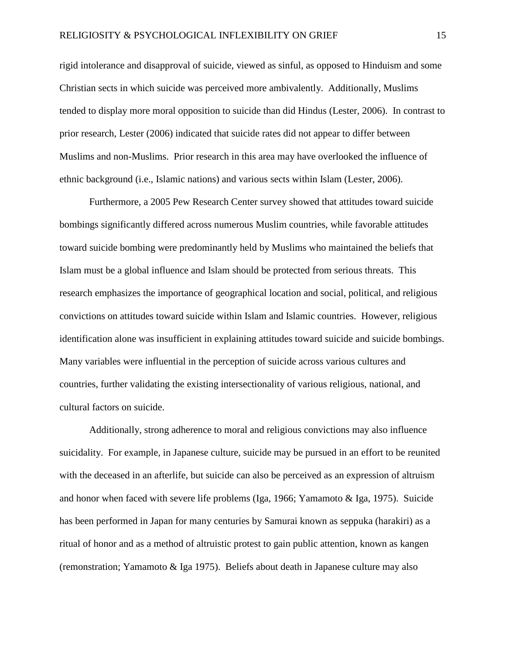rigid intolerance and disapproval of suicide, viewed as sinful, as opposed to Hinduism and some Christian sects in which suicide was perceived more ambivalently. Additionally, Muslims tended to display more moral opposition to suicide than did Hindus (Lester, 2006). In contrast to prior research, Lester (2006) indicated that suicide rates did not appear to differ between Muslims and non-Muslims. Prior research in this area may have overlooked the influence of ethnic background (i.e., Islamic nations) and various sects within Islam (Lester, 2006).

Furthermore, a 2005 Pew Research Center survey showed that attitudes toward suicide bombings significantly differed across numerous Muslim countries, while favorable attitudes toward suicide bombing were predominantly held by Muslims who maintained the beliefs that Islam must be a global influence and Islam should be protected from serious threats. This research emphasizes the importance of geographical location and social, political, and religious convictions on attitudes toward suicide within Islam and Islamic countries. However, religious identification alone was insufficient in explaining attitudes toward suicide and suicide bombings. Many variables were influential in the perception of suicide across various cultures and countries, further validating the existing intersectionality of various religious, national, and cultural factors on suicide.

Additionally, strong adherence to moral and religious convictions may also influence suicidality. For example, in Japanese culture, suicide may be pursued in an effort to be reunited with the deceased in an afterlife, but suicide can also be perceived as an expression of altruism and honor when faced with severe life problems (Iga, 1966; Yamamoto & Iga, 1975). Suicide has been performed in Japan for many centuries by Samurai known as seppuka (harakiri) as a ritual of honor and as a method of altruistic protest to gain public attention, known as kangen (remonstration; Yamamoto & Iga 1975). Beliefs about death in Japanese culture may also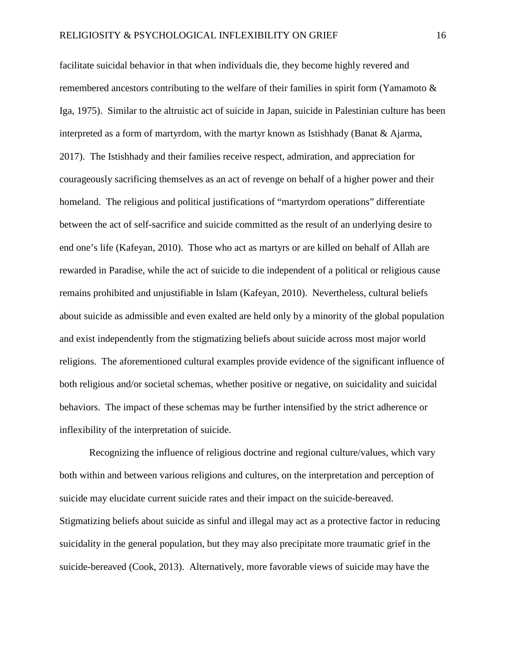facilitate suicidal behavior in that when individuals die, they become highly revered and remembered ancestors contributing to the welfare of their families in spirit form (Yamamoto & Iga, 1975). Similar to the altruistic act of suicide in Japan, suicide in Palestinian culture has been interpreted as a form of martyrdom, with the martyr known as Istishhady (Banat & Ajarma, 2017). The Istishhady and their families receive respect, admiration, and appreciation for courageously sacrificing themselves as an act of revenge on behalf of a higher power and their homeland. The religious and political justifications of "martyrdom operations" differentiate between the act of self-sacrifice and suicide committed as the result of an underlying desire to end one's life (Kafeyan, 2010). Those who act as martyrs or are killed on behalf of Allah are rewarded in Paradise, while the act of suicide to die independent of a political or religious cause remains prohibited and unjustifiable in Islam (Kafeyan, 2010). Nevertheless, cultural beliefs about suicide as admissible and even exalted are held only by a minority of the global population and exist independently from the stigmatizing beliefs about suicide across most major world religions. The aforementioned cultural examples provide evidence of the significant influence of both religious and/or societal schemas, whether positive or negative, on suicidality and suicidal behaviors. The impact of these schemas may be further intensified by the strict adherence or inflexibility of the interpretation of suicide.

Recognizing the influence of religious doctrine and regional culture/values, which vary both within and between various religions and cultures, on the interpretation and perception of suicide may elucidate current suicide rates and their impact on the suicide-bereaved. Stigmatizing beliefs about suicide as sinful and illegal may act as a protective factor in reducing suicidality in the general population, but they may also precipitate more traumatic grief in the suicide-bereaved (Cook, 2013). Alternatively, more favorable views of suicide may have the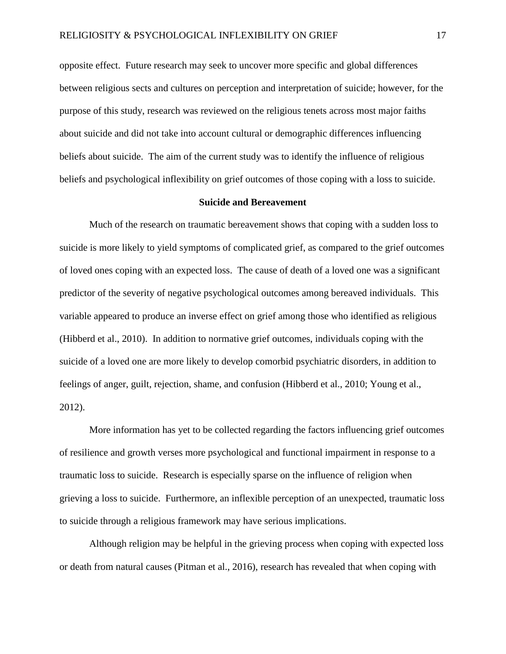opposite effect. Future research may seek to uncover more specific and global differences between religious sects and cultures on perception and interpretation of suicide; however, for the purpose of this study, research was reviewed on the religious tenets across most major faiths about suicide and did not take into account cultural or demographic differences influencing beliefs about suicide. The aim of the current study was to identify the influence of religious beliefs and psychological inflexibility on grief outcomes of those coping with a loss to suicide.

#### **Suicide and Bereavement**

Much of the research on traumatic bereavement shows that coping with a sudden loss to suicide is more likely to yield symptoms of complicated grief, as compared to the grief outcomes of loved ones coping with an expected loss. The cause of death of a loved one was a significant predictor of the severity of negative psychological outcomes among bereaved individuals. This variable appeared to produce an inverse effect on grief among those who identified as religious (Hibberd et al., 2010). In addition to normative grief outcomes, individuals coping with the suicide of a loved one are more likely to develop comorbid psychiatric disorders, in addition to feelings of anger, guilt, rejection, shame, and confusion (Hibberd et al., 2010; Young et al., 2012).

More information has yet to be collected regarding the factors influencing grief outcomes of resilience and growth verses more psychological and functional impairment in response to a traumatic loss to suicide. Research is especially sparse on the influence of religion when grieving a loss to suicide. Furthermore, an inflexible perception of an unexpected, traumatic loss to suicide through a religious framework may have serious implications.

Although religion may be helpful in the grieving process when coping with expected loss or death from natural causes (Pitman et al., 2016), research has revealed that when coping with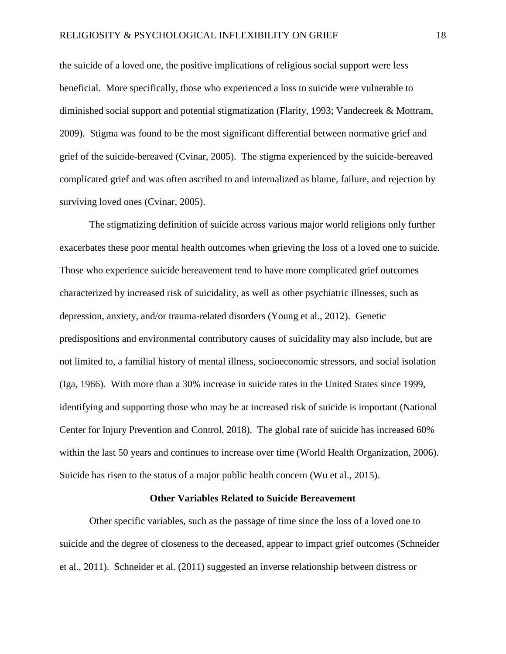the suicide of a loved one, the positive implications of religious social support were less beneficial. More specifically, those who experienced a loss to suicide were vulnerable to diminished social support and potential stigmatization (Flarity, 1993; Vandecreek & Mottram, 2009). Stigma was found to be the most significant differential between normative grief and grief of the suicide-bereaved (Cvinar, 2005). The stigma experienced by the suicide-bereaved complicated grief and was often ascribed to and internalized as blame, failure, and rejection by surviving loved ones (Cvinar, 2005).

The stigmatizing definition of suicide across various major world religions only further exacerbates these poor mental health outcomes when grieving the loss of a loved one to suicide. Those who experience suicide bereavement tend to have more complicated grief outcomes characterized by increased risk of suicidality, as well as other psychiatric illnesses, such as depression, anxiety, and/or trauma-related disorders (Young et al., 2012). Genetic predispositions and environmental contributory causes of suicidality may also include, but are not limited to, a familial history of mental illness, socioeconomic stressors, and social isolation (Iga, 1966). With more than a 30% increase in suicide rates in the United States since 1999, identifying and supporting those who may be at increased risk of suicide is important (National Center for Injury Prevention and Control, 2018). The global rate of suicide has increased 60% within the last 50 years and continues to increase over time (World Health Organization, 2006). Suicide has risen to the status of a major public health concern (Wu et al., 2015).

#### **Other Variables Related to Suicide Bereavement**

Other specific variables, such as the passage of time since the loss of a loved one to suicide and the degree of closeness to the deceased, appear to impact grief outcomes (Schneider et al., 2011). Schneider et al. (2011) suggested an inverse relationship between distress or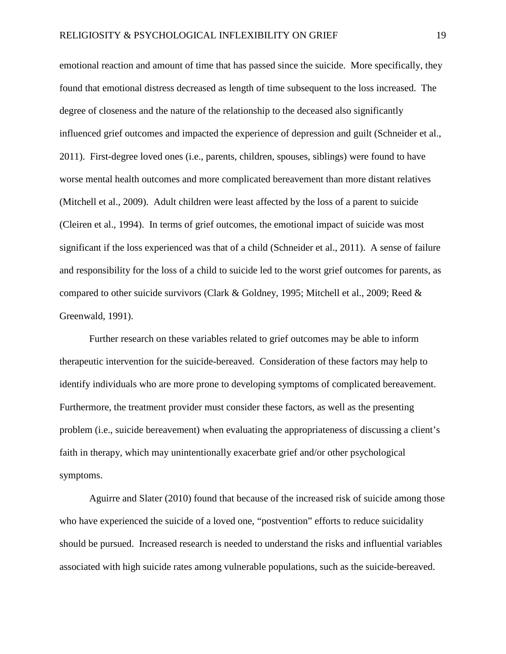emotional reaction and amount of time that has passed since the suicide. More specifically, they found that emotional distress decreased as length of time subsequent to the loss increased. The degree of closeness and the nature of the relationship to the deceased also significantly influenced grief outcomes and impacted the experience of depression and guilt (Schneider et al., 2011). First-degree loved ones (i.e., parents, children, spouses, siblings) were found to have worse mental health outcomes and more complicated bereavement than more distant relatives (Mitchell et al., 2009). Adult children were least affected by the loss of a parent to suicide (Cleiren et al., 1994). In terms of grief outcomes, the emotional impact of suicide was most significant if the loss experienced was that of a child (Schneider et al., 2011). A sense of failure and responsibility for the loss of a child to suicide led to the worst grief outcomes for parents, as compared to other suicide survivors (Clark & Goldney, 1995; Mitchell et al., 2009; Reed  $\&$ Greenwald, 1991).

Further research on these variables related to grief outcomes may be able to inform therapeutic intervention for the suicide-bereaved. Consideration of these factors may help to identify individuals who are more prone to developing symptoms of complicated bereavement. Furthermore, the treatment provider must consider these factors, as well as the presenting problem (i.e., suicide bereavement) when evaluating the appropriateness of discussing a client's faith in therapy, which may unintentionally exacerbate grief and/or other psychological symptoms.

Aguirre and Slater (2010) found that because of the increased risk of suicide among those who have experienced the suicide of a loved one, "postvention" efforts to reduce suicidality should be pursued. Increased research is needed to understand the risks and influential variables associated with high suicide rates among vulnerable populations, such as the suicide-bereaved.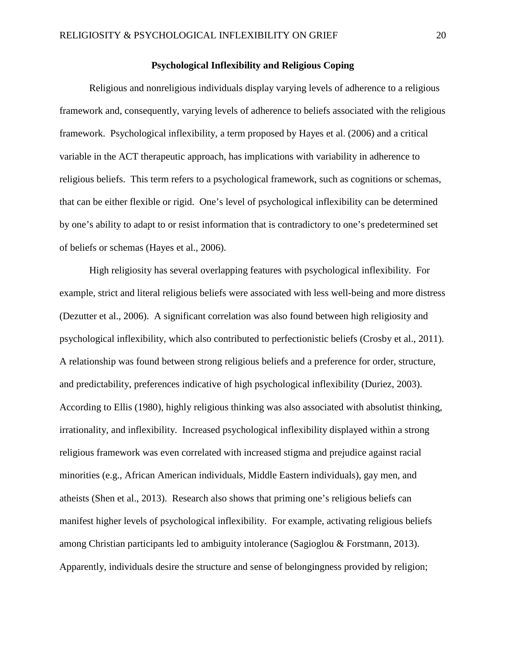#### **Psychological Inflexibility and Religious Coping**

Religious and nonreligious individuals display varying levels of adherence to a religious framework and, consequently, varying levels of adherence to beliefs associated with the religious framework. Psychological inflexibility, a term proposed by Hayes et al. (2006) and a critical variable in the ACT therapeutic approach, has implications with variability in adherence to religious beliefs. This term refers to a psychological framework, such as cognitions or schemas, that can be either flexible or rigid. One's level of psychological inflexibility can be determined by one's ability to adapt to or resist information that is contradictory to one's predetermined set of beliefs or schemas (Hayes et al., 2006).

High religiosity has several overlapping features with psychological inflexibility. For example, strict and literal religious beliefs were associated with less well-being and more distress (Dezutter et al., 2006).A significant correlation was also found between high religiosity and psychological inflexibility, which also contributed to perfectionistic beliefs (Crosby et al., 2011). A relationship was found between strong religious beliefs and a preference for order, structure, and predictability, preferences indicative of high psychological inflexibility (Duriez, 2003). According to Ellis (1980), highly religious thinking was also associated with absolutist thinking, irrationality, and inflexibility. Increased psychological inflexibility displayed within a strong religious framework was even correlated with increased stigma and prejudice against racial minorities (e.g., African American individuals, Middle Eastern individuals), gay men, and atheists (Shen et al., 2013). Research also shows that priming one's religious beliefs can manifest higher levels of psychological inflexibility. For example, activating religious beliefs among Christian participants led to ambiguity intolerance (Sagioglou & Forstmann, 2013). Apparently, individuals desire the structure and sense of belongingness provided by religion;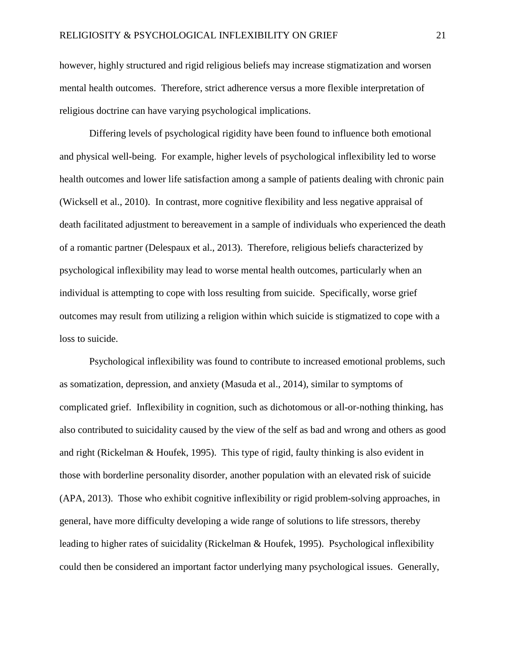however, highly structured and rigid religious beliefs may increase stigmatization and worsen mental health outcomes. Therefore, strict adherence versus a more flexible interpretation of religious doctrine can have varying psychological implications.

Differing levels of psychological rigidity have been found to influence both emotional and physical well-being. For example, higher levels of psychological inflexibility led to worse health outcomes and lower life satisfaction among a sample of patients dealing with chronic pain (Wicksell et al., 2010). In contrast, more cognitive flexibility and less negative appraisal of death facilitated adjustment to bereavement in a sample of individuals who experienced the death of a romantic partner (Delespaux et al., 2013). Therefore, religious beliefs characterized by psychological inflexibility may lead to worse mental health outcomes, particularly when an individual is attempting to cope with loss resulting from suicide. Specifically, worse grief outcomes may result from utilizing a religion within which suicide is stigmatized to cope with a loss to suicide.

Psychological inflexibility was found to contribute to increased emotional problems, such as somatization, depression, and anxiety (Masuda et al., 2014), similar to symptoms of complicated grief. Inflexibility in cognition, such as dichotomous or all-or-nothing thinking, has also contributed to suicidality caused by the view of the self as bad and wrong and others as good and right (Rickelman & Houfek, 1995). This type of rigid, faulty thinking is also evident in those with borderline personality disorder, another population with an elevated risk of suicide (APA, 2013). Those who exhibit cognitive inflexibility or rigid problem-solving approaches, in general, have more difficulty developing a wide range of solutions to life stressors, thereby leading to higher rates of suicidality (Rickelman & Houfek, 1995). Psychological inflexibility could then be considered an important factor underlying many psychological issues.Generally,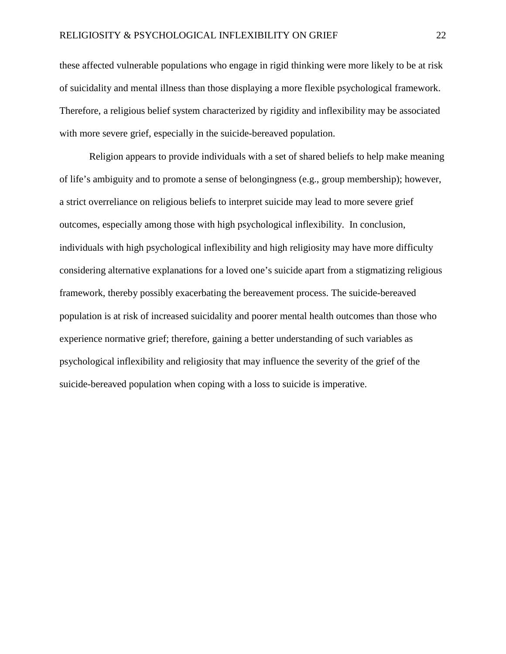these affected vulnerable populations who engage in rigid thinking were more likely to be at risk of suicidality and mental illness than those displaying a more flexible psychological framework. Therefore, a religious belief system characterized by rigidity and inflexibility may be associated with more severe grief, especially in the suicide-bereaved population.

Religion appears to provide individuals with a set of shared beliefs to help make meaning of life's ambiguity and to promote a sense of belongingness (e.g., group membership); however, a strict overreliance on religious beliefs to interpret suicide may lead to more severe grief outcomes, especially among those with high psychological inflexibility. In conclusion, individuals with high psychological inflexibility and high religiosity may have more difficulty considering alternative explanations for a loved one's suicide apart from a stigmatizing religious framework, thereby possibly exacerbating the bereavement process. The suicide-bereaved population is at risk of increased suicidality and poorer mental health outcomes than those who experience normative grief; therefore, gaining a better understanding of such variables as psychological inflexibility and religiosity that may influence the severity of the grief of the suicide-bereaved population when coping with a loss to suicide is imperative.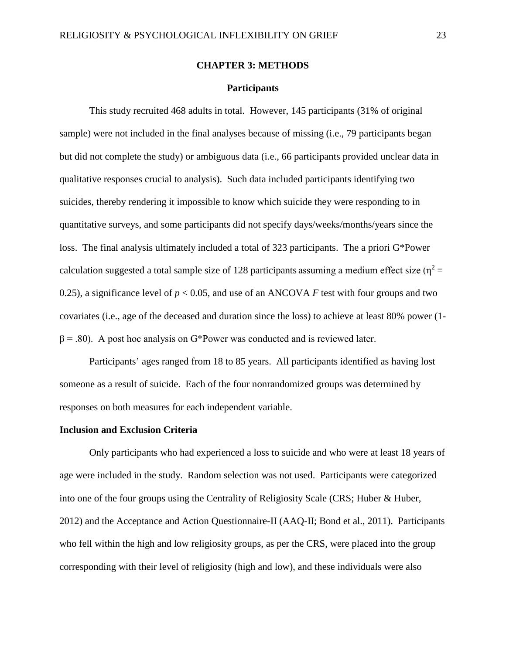#### **CHAPTER 3: METHODS**

#### **Participants**

This study recruited 468 adults in total. However, 145 participants (31% of original sample) were not included in the final analyses because of missing (i.e., 79 participants began but did not complete the study) or ambiguous data (i.e., 66 participants provided unclear data in qualitative responses crucial to analysis). Such data included participants identifying two suicides, thereby rendering it impossible to know which suicide they were responding to in quantitative surveys, and some participants did not specify days/weeks/months/years since the loss. The final analysis ultimately included a total of 323 participants. The a priori G\*Power calculation suggested a total sample size of 128 participants assuming a medium effect size ( $\eta^2$  = 0.25), a significance level of  $p < 0.05$ , and use of an ANCOVA *F* test with four groups and two covariates (i.e., age of the deceased and duration since the loss) to achieve at least 80% power (1-  $\beta$  = .80). A post hoc analysis on G\*Power was conducted and is reviewed later.

Participants' ages ranged from 18 to 85 years. All participants identified as having lost someone as a result of suicide. Each of the four nonrandomized groups was determined by responses on both measures for each independent variable.

#### **Inclusion and Exclusion Criteria**

Only participants who had experienced a loss to suicide and who were at least 18 years of age were included in the study. Random selection was not used. Participants were categorized into one of the four groups using the Centrality of Religiosity Scale (CRS; Huber & Huber, 2012) and the Acceptance and Action Questionnaire-II (AAQ-II; Bond et al., 2011). Participants who fell within the high and low religiosity groups, as per the CRS, were placed into the group corresponding with their level of religiosity (high and low), and these individuals were also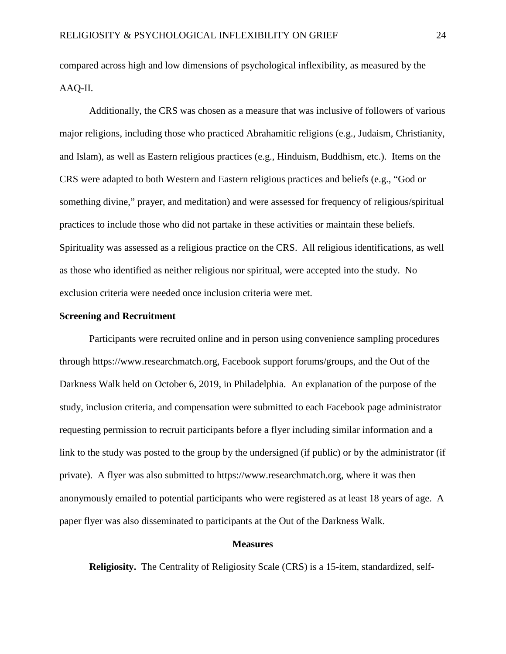compared across high and low dimensions of psychological inflexibility, as measured by the AAQ-II.

Additionally, the CRS was chosen as a measure that was inclusive of followers of various major religions, including those who practiced Abrahamitic religions (e.g., Judaism, Christianity, and Islam), as well as Eastern religious practices (e.g., Hinduism, Buddhism, etc.). Items on the CRS were adapted to both Western and Eastern religious practices and beliefs (e.g., "God or something divine," prayer, and meditation) and were assessed for frequency of religious/spiritual practices to include those who did not partake in these activities or maintain these beliefs. Spirituality was assessed as a religious practice on the CRS. All religious identifications, as well as those who identified as neither religious nor spiritual, were accepted into the study. No exclusion criteria were needed once inclusion criteria were met.

#### **Screening and Recruitment**

Participants were recruited online and in person using convenience sampling procedures through https://www.researchmatch.org, Facebook support forums/groups, and the Out of the Darkness Walk held on October 6, 2019, in Philadelphia. An explanation of the purpose of the study, inclusion criteria, and compensation were submitted to each Facebook page administrator requesting permission to recruit participants before a flyer including similar information and a link to the study was posted to the group by the undersigned (if public) or by the administrator (if private). A flyer was also submitted to https://www.researchmatch.org, where it was then anonymously emailed to potential participants who were registered as at least 18 years of age. A paper flyer was also disseminated to participants at the Out of the Darkness Walk.

#### **Measures**

**Religiosity.** The Centrality of Religiosity Scale (CRS) is a 15-item, standardized, self-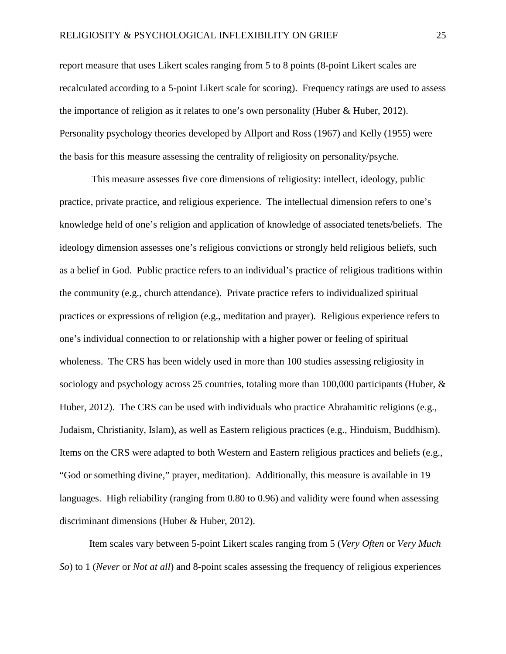report measure that uses Likert scales ranging from 5 to 8 points (8-point Likert scales are recalculated according to a 5-point Likert scale for scoring). Frequency ratings are used to assess the importance of religion as it relates to one's own personality (Huber & Huber, 2012). Personality psychology theories developed by Allport and Ross (1967) and Kelly (1955) were the basis for this measure assessing the centrality of religiosity on personality/psyche.

This measure assesses five core dimensions of religiosity: intellect, ideology, public practice, private practice, and religious experience. The intellectual dimension refers to one's knowledge held of one's religion and application of knowledge of associated tenets/beliefs. The ideology dimension assesses one's religious convictions or strongly held religious beliefs, such as a belief in God. Public practice refers to an individual's practice of religious traditions within the community (e.g., church attendance). Private practice refers to individualized spiritual practices or expressions of religion (e.g., meditation and prayer). Religious experience refers to one's individual connection to or relationship with a higher power or feeling of spiritual wholeness. The CRS has been widely used in more than 100 studies assessing religiosity in sociology and psychology across 25 countries, totaling more than 100,000 participants (Huber,  $\&$ Huber, 2012). The CRS can be used with individuals who practice Abrahamitic religions (e.g., Judaism, Christianity, Islam), as well as Eastern religious practices (e.g., Hinduism, Buddhism). Items on the CRS were adapted to both Western and Eastern religious practices and beliefs (e.g., "God or something divine," prayer, meditation). Additionally, this measure is available in 19 languages. High reliability (ranging from 0.80 to 0.96) and validity were found when assessing discriminant dimensions (Huber & Huber, 2012).

Item scales vary between 5-point Likert scales ranging from 5 (*Very Often* or *Very Much So*) to 1 (*Never* or *Not at all*) and 8-point scales assessing the frequency of religious experiences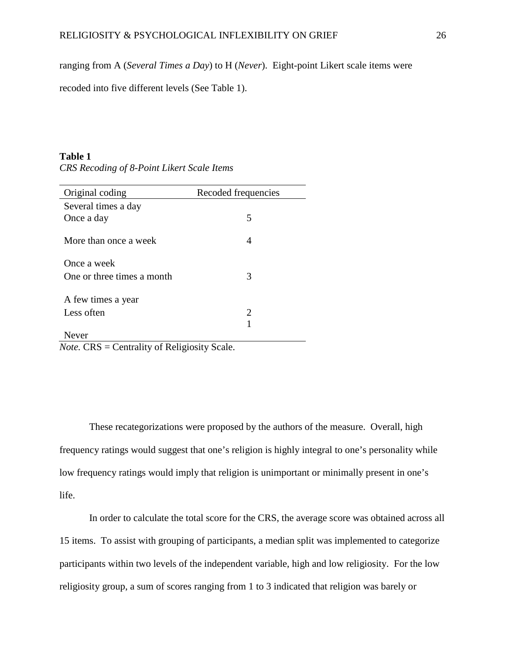ranging from A (*Several Times a Day*) to H (*Never*). Eight-point Likert scale items were

recoded into five different levels (See Table 1).

#### **Table 1**

*CRS Recoding of 8-Point Likert Scale Items*

| Original coding            | Recoded frequencies |
|----------------------------|---------------------|
| Several times a day        |                     |
| Once a day                 | 5                   |
|                            |                     |
| More than once a week      | 4                   |
| Once a week                |                     |
| One or three times a month | 3                   |
|                            |                     |
| A few times a year         |                     |
| Less often                 | 2                   |
|                            |                     |
| lever                      |                     |

*Note.* CRS = Centrality of Religiosity Scale.

These recategorizations were proposed by the authors of the measure. Overall, high frequency ratings would suggest that one's religion is highly integral to one's personality while low frequency ratings would imply that religion is unimportant or minimally present in one's life.

In order to calculate the total score for the CRS, the average score was obtained across all 15 items. To assist with grouping of participants, a median split was implemented to categorize participants within two levels of the independent variable, high and low religiosity. For the low religiosity group, a sum of scores ranging from 1 to 3 indicated that religion was barely or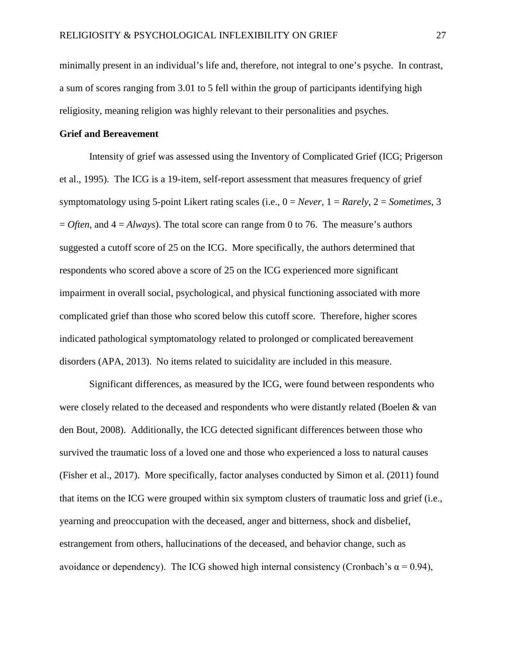minimally present in an individual's life and, therefore, not integral to one's psyche. In contrast, a sum of scores ranging from 3.01 to 5 fell within the group of participants identifying high religiosity, meaning religion was highly relevant to their personalities and psyches.

#### **Grief and Bereavement**

Intensity of grief was assessed using the Inventory of Complicated Grief (ICG; Prigerson et al., 1995). The ICG is a 19-item, self-report assessment that measures frequency of grief symptomatology using 5-point Likert rating scales (i.e., 0 = *Never*, 1 = *Rarely*, 2 = *Sometimes,* 3  $=$  *Often*, and  $4 =$  *Always*). The total score can range from 0 to 76. The measure's authors suggested a cutoff score of 25 on the ICG. More specifically, the authors determined that respondents who scored above a score of 25 on the ICG experienced more significant impairment in overall social, psychological, and physical functioning associated with more complicated grief than those who scored below this cutoff score. Therefore, higher scores indicated pathological symptomatology related to prolonged or complicated bereavement disorders (APA, 2013). No items related to suicidality are included in this measure.

Significant differences, as measured by the ICG, were found between respondents who were closely related to the deceased and respondents who were distantly related (Boelen & van den Bout, 2008). Additionally, the ICG detected significant differences between those who survived the traumatic loss of a loved one and those who experienced a loss to natural causes (Fisher et al., 2017). More specifically, factor analyses conducted by Simon et al. (2011) found that items on the ICG were grouped within six symptom clusters of traumatic loss and grief (i.e., yearning and preoccupation with the deceased, anger and bitterness, shock and disbelief, estrangement from others, hallucinations of the deceased, and behavior change, such as avoidance or dependency). The ICG showed high internal consistency (Cronbach's  $\alpha = 0.94$ ),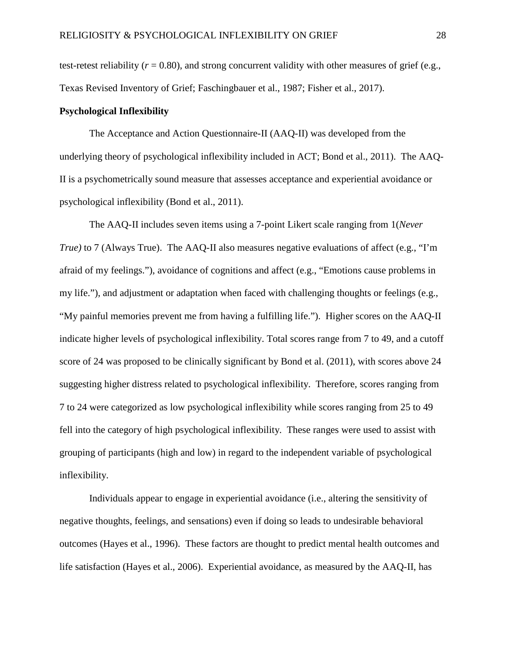test-retest reliability ( $r = 0.80$ ), and strong concurrent validity with other measures of grief (e.g., Texas Revised Inventory of Grief; Faschingbauer et al., 1987; Fisher et al., 2017).

#### **Psychological Inflexibility**

The Acceptance and Action Questionnaire-II (AAQ-II) was developed from the underlying theory of psychological inflexibility included in ACT; Bond et al., 2011). The AAQ-II is a psychometrically sound measure that assesses acceptance and experiential avoidance or psychological inflexibility (Bond et al., 2011).

The AAQ-II includes seven items using a 7-point Likert scale ranging from 1(*Never True*) to 7 (Always True). The AAQ-II also measures negative evaluations of affect (e.g., "I'm afraid of my feelings."), avoidance of cognitions and affect (e.g., "Emotions cause problems in my life."), and adjustment or adaptation when faced with challenging thoughts or feelings (e.g., "My painful memories prevent me from having a fulfilling life."). Higher scores on the AAQ-II indicate higher levels of psychological inflexibility. Total scores range from 7 to 49, and a cutoff score of 24 was proposed to be clinically significant by Bond et al. (2011), with scores above 24 suggesting higher distress related to psychological inflexibility. Therefore, scores ranging from 7 to 24 were categorized as low psychological inflexibility while scores ranging from 25 to 49 fell into the category of high psychological inflexibility. These ranges were used to assist with grouping of participants (high and low) in regard to the independent variable of psychological inflexibility.

Individuals appear to engage in experiential avoidance (i.e., altering the sensitivity of negative thoughts, feelings, and sensations) even if doing so leads to undesirable behavioral outcomes (Hayes et al., 1996). These factors are thought to predict mental health outcomes and life satisfaction (Hayes et al., 2006). Experiential avoidance, as measured by the AAQ-II, has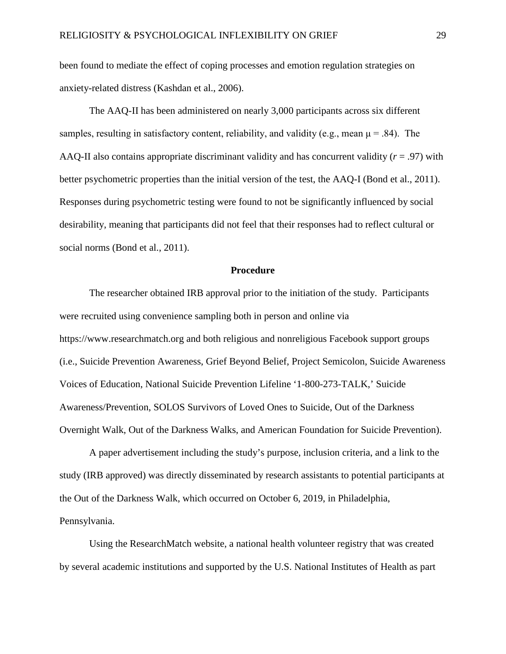been found to mediate the effect of coping processes and emotion regulation strategies on anxiety-related distress (Kashdan et al., 2006).

The AAQ-II has been administered on nearly 3,000 participants across six different samples, resulting in satisfactory content, reliability, and validity (e.g., mean  $\mu = .84$ ). The AAQ-II also contains appropriate discriminant validity and has concurrent validity (*r* = .97) with better psychometric properties than the initial version of the test, the AAQ-I (Bond et al., 2011). Responses during psychometric testing were found to not be significantly influenced by social desirability, meaning that participants did not feel that their responses had to reflect cultural or social norms (Bond et al., 2011).

#### **Procedure**

The researcher obtained IRB approval prior to the initiation of the study. Participants were recruited using convenience sampling both in person and online via https://www.researchmatch.org and both religious and nonreligious Facebook support groups (i.e., Suicide Prevention Awareness, Grief Beyond Belief, Project Semicolon, Suicide Awareness Voices of Education, National Suicide Prevention Lifeline '1-800-273-TALK,' Suicide Awareness/Prevention, SOLOS Survivors of Loved Ones to Suicide, Out of the Darkness Overnight Walk, Out of the Darkness Walks, and American Foundation for Suicide Prevention).

A paper advertisement including the study's purpose, inclusion criteria, and a link to the study (IRB approved) was directly disseminated by research assistants to potential participants at the Out of the Darkness Walk, which occurred on October 6, 2019, in Philadelphia, Pennsylvania.

Using the ResearchMatch website, a national health volunteer registry that was created by several academic institutions and supported by the U.S. National Institutes of Health as part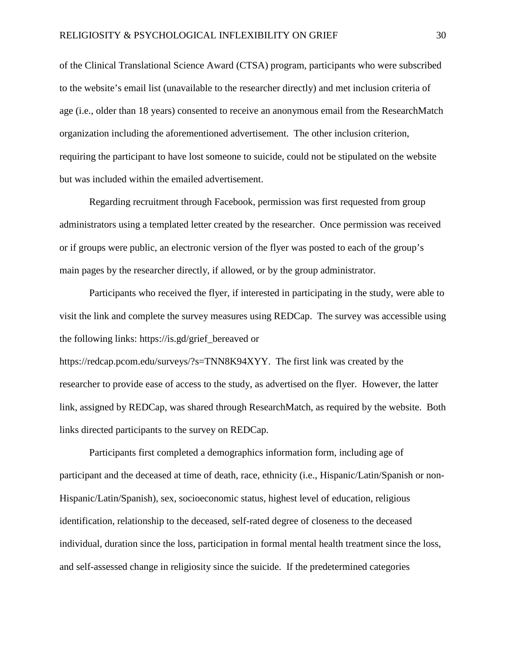of the Clinical Translational Science Award (CTSA) program, participants who were subscribed to the website's email list (unavailable to the researcher directly) and met inclusion criteria of age (i.e., older than 18 years) consented to receive an anonymous email from the ResearchMatch organization including the aforementioned advertisement. The other inclusion criterion, requiring the participant to have lost someone to suicide, could not be stipulated on the website but was included within the emailed advertisement.

Regarding recruitment through Facebook, permission was first requested from group administrators using a templated letter created by the researcher. Once permission was received or if groups were public, an electronic version of the flyer was posted to each of the group's main pages by the researcher directly, if allowed, or by the group administrator.

Participants who received the flyer, if interested in participating in the study, were able to visit the link and complete the survey measures using REDCap. The survey was accessible using the following links: https://is.gd/grief\_bereaved or

https://redcap.pcom.edu/surveys/?s=TNN8K94XYY. The first link was created by the researcher to provide ease of access to the study, as advertised on the flyer. However, the latter link, assigned by REDCap, was shared through ResearchMatch, as required by the website. Both links directed participants to the survey on REDCap.

Participants first completed a demographics information form, including age of participant and the deceased at time of death, race, ethnicity (i.e., Hispanic/Latin/Spanish or non-Hispanic/Latin/Spanish), sex, socioeconomic status, highest level of education, religious identification, relationship to the deceased, self-rated degree of closeness to the deceased individual, duration since the loss, participation in formal mental health treatment since the loss, and self-assessed change in religiosity since the suicide. If the predetermined categories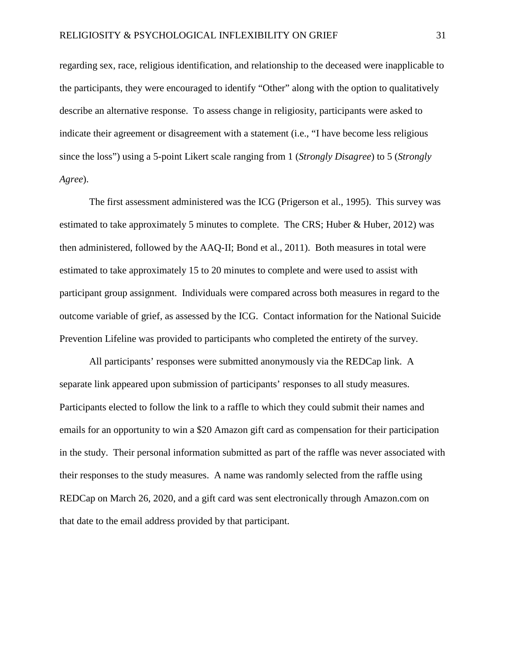regarding sex, race, religious identification, and relationship to the deceased were inapplicable to the participants, they were encouraged to identify "Other" along with the option to qualitatively describe an alternative response. To assess change in religiosity, participants were asked to indicate their agreement or disagreement with a statement (i.e., "I have become less religious since the loss") using a 5-point Likert scale ranging from 1 (*Strongly Disagree*) to 5 (*Strongly Agree*).

The first assessment administered was the ICG (Prigerson et al., 1995). This survey was estimated to take approximately 5 minutes to complete. The CRS; Huber  $\&$  Huber, 2012) was then administered, followed by the AAQ-II; Bond et al., 2011). Both measures in total were estimated to take approximately 15 to 20 minutes to complete and were used to assist with participant group assignment. Individuals were compared across both measures in regard to the outcome variable of grief, as assessed by the ICG. Contact information for the National Suicide Prevention Lifeline was provided to participants who completed the entirety of the survey.

All participants' responses were submitted anonymously via the REDCap link. A separate link appeared upon submission of participants' responses to all study measures. Participants elected to follow the link to a raffle to which they could submit their names and emails for an opportunity to win a \$20 Amazon gift card as compensation for their participation in the study. Their personal information submitted as part of the raffle was never associated with their responses to the study measures. A name was randomly selected from the raffle using REDCap on March 26, 2020, and a gift card was sent electronically through Amazon.com on that date to the email address provided by that participant.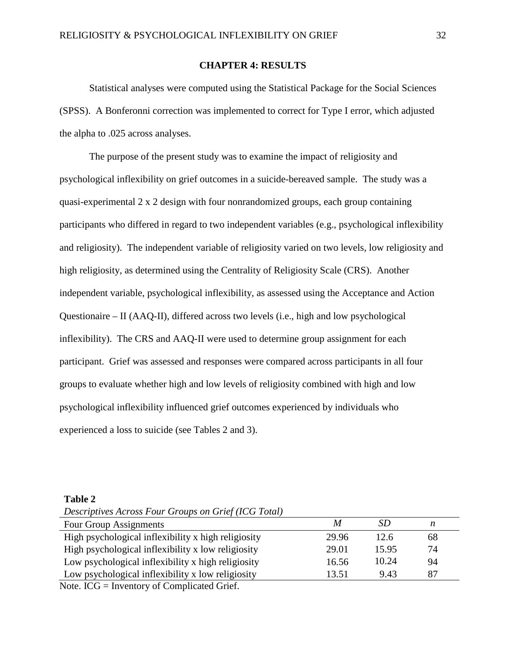# **CHAPTER 4: RESULTS**

Statistical analyses were computed using the Statistical Package for the Social Sciences (SPSS). A Bonferonni correction was implemented to correct for Type I error, which adjusted the alpha to .025 across analyses.

The purpose of the present study was to examine the impact of religiosity and psychological inflexibility on grief outcomes in a suicide-bereaved sample. The study was a quasi-experimental 2 x 2 design with four nonrandomized groups, each group containing participants who differed in regard to two independent variables (e.g., psychological inflexibility and religiosity). The independent variable of religiosity varied on two levels, low religiosity and high religiosity, as determined using the Centrality of Religiosity Scale (CRS). Another independent variable, psychological inflexibility, as assessed using the Acceptance and Action Questionaire – II (AAQ-II), differed across two levels (i.e., high and low psychological inflexibility). The CRS and AAQ-II were used to determine group assignment for each participant. Grief was assessed and responses were compared across participants in all four groups to evaluate whether high and low levels of religiosity combined with high and low psychological inflexibility influenced grief outcomes experienced by individuals who experienced a loss to suicide (see Tables 2 and 3).

#### **Table 2**

*Descriptives Across Four Groups on Grief (ICG Total)*

| Four Group Assignments                              | M     | SD    | n  |
|-----------------------------------------------------|-------|-------|----|
| High psychological inflexibility x high religiosity | 29.96 | 12.6  | 68 |
| High psychological inflexibility x low religiosity  | 29.01 | 15.95 | 74 |
| Low psychological inflexibility x high religiosity  | 16.56 | 10.24 | 94 |
| Low psychological inflexibility x low religiosity   | 13.51 | 9.43  | 87 |
| Note $ICC = Invariant of Complied Cref$             |       |       |    |

Note. ICG = Inventory of Complicated Grief.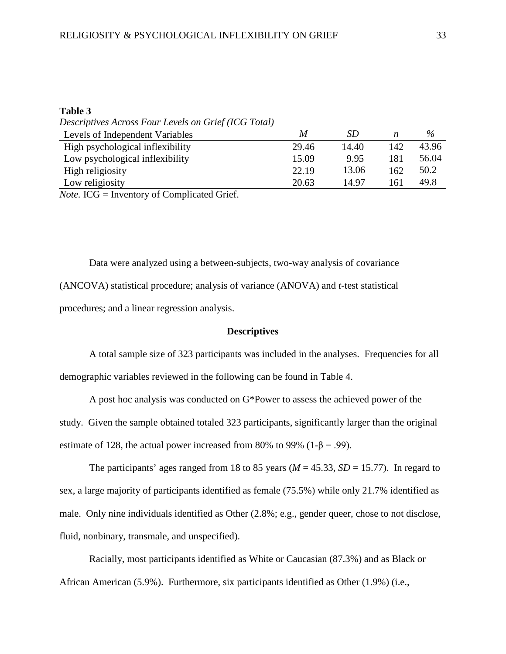# **Table 3**

*Descriptives Across Four Levels on Grief (ICG Total)*

| Levels of Independent Variables  | M     | <i>SD</i> | n   | $\%$  |
|----------------------------------|-------|-----------|-----|-------|
| High psychological inflexibility | 29.46 | 14.40     | 142 | 43.96 |
| Low psychological inflexibility  | 15.09 | 9.95      | 181 | 56.04 |
| High religiosity                 | 22.19 | 13.06     | 162 | 50.2  |
| Low religiosity                  | 20.63 | 14.97     | -61 | 49.8  |
|                                  |       |           |     |       |

*Note.* ICG = Inventory of Complicated Grief.

Data were analyzed using a between-subjects, two-way analysis of covariance (ANCOVA) statistical procedure; analysis of variance (ANOVA) and *t*-test statistical procedures; and a linear regression analysis.

## **Descriptives**

A total sample size of 323 participants was included in the analyses. Frequencies for all demographic variables reviewed in the following can be found in Table 4.

A post hoc analysis was conducted on G\*Power to assess the achieved power of the study. Given the sample obtained totaled 323 participants, significantly larger than the original estimate of 128, the actual power increased from 80% to 99% (1- $\beta$  = .99).

The participants' ages ranged from 18 to 85 years ( $M = 45.33$ ,  $SD = 15.77$ ). In regard to sex, a large majority of participants identified as female (75.5%) while only 21.7% identified as male. Only nine individuals identified as Other (2.8%; e.g., gender queer, chose to not disclose, fluid, nonbinary, transmale, and unspecified).

Racially, most participants identified as White or Caucasian (87.3%) and as Black or African American (5.9%). Furthermore, six participants identified as Other (1.9%) (i.e.,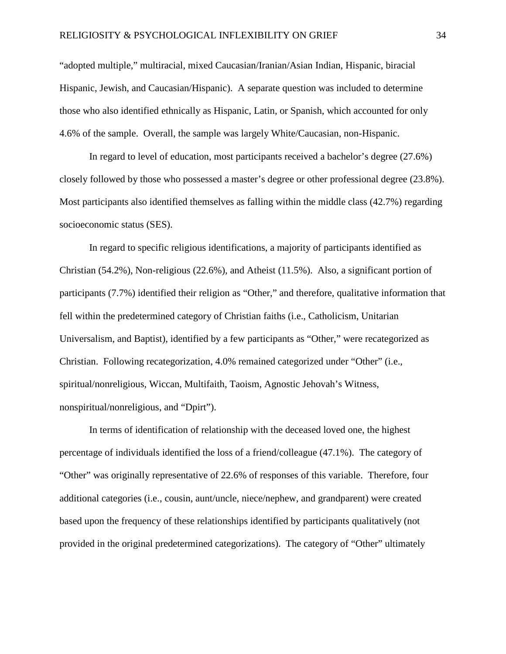"adopted multiple," multiracial, mixed Caucasian/Iranian/Asian Indian, Hispanic, biracial Hispanic, Jewish, and Caucasian/Hispanic). A separate question was included to determine those who also identified ethnically as Hispanic, Latin, or Spanish, which accounted for only 4.6% of the sample. Overall, the sample was largely White/Caucasian, non-Hispanic.

In regard to level of education, most participants received a bachelor's degree (27.6%) closely followed by those who possessed a master's degree or other professional degree (23.8%). Most participants also identified themselves as falling within the middle class (42.7%) regarding socioeconomic status (SES).

In regard to specific religious identifications, a majority of participants identified as Christian (54.2%), Non-religious (22.6%), and Atheist (11.5%). Also, a significant portion of participants (7.7%) identified their religion as "Other," and therefore, qualitative information that fell within the predetermined category of Christian faiths (i.e., Catholicism, Unitarian Universalism, and Baptist), identified by a few participants as "Other," were recategorized as Christian. Following recategorization, 4.0% remained categorized under "Other" (i.e., spiritual/nonreligious, Wiccan, Multifaith, Taoism, Agnostic Jehovah's Witness, nonspiritual/nonreligious, and "Dpirt").

In terms of identification of relationship with the deceased loved one, the highest percentage of individuals identified the loss of a friend/colleague (47.1%). The category of "Other" was originally representative of 22.6% of responses of this variable. Therefore, four additional categories (i.e., cousin, aunt/uncle, niece/nephew, and grandparent) were created based upon the frequency of these relationships identified by participants qualitatively (not provided in the original predetermined categorizations). The category of "Other" ultimately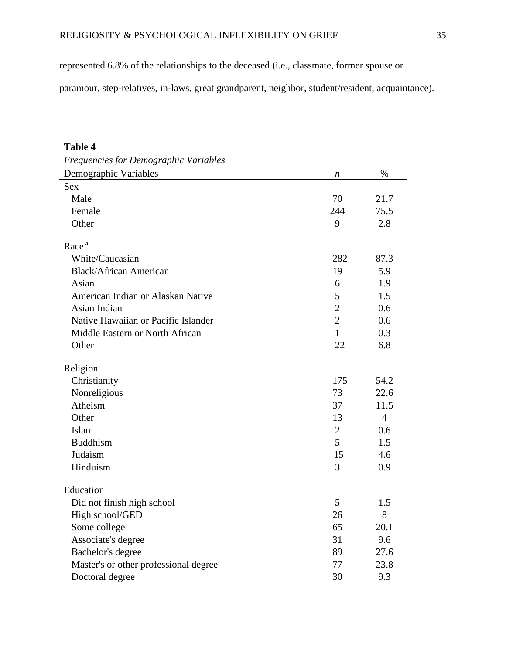represented 6.8% of the relationships to the deceased (i.e., classmate, former spouse or

paramour, step-relatives, in-laws, great grandparent, neighbor, student/resident, acquaintance).

# **Table 4**

| Frequencies for Demographic Variables |                  |                |
|---------------------------------------|------------------|----------------|
| Demographic Variables                 | $\boldsymbol{n}$ | $\%$           |
| <b>Sex</b>                            |                  |                |
| Male                                  | 70               | 21.7           |
| Female                                | 244              | 75.5           |
| Other                                 | 9                | 2.8            |
| Race <sup>a</sup>                     |                  |                |
| White/Caucasian                       | 282              | 87.3           |
| <b>Black/African American</b>         | 19               | 5.9            |
| Asian                                 | 6                | 1.9            |
| American Indian or Alaskan Native     | 5                | 1.5            |
| Asian Indian                          | $\overline{2}$   | 0.6            |
| Native Hawaiian or Pacific Islander   | $\overline{2}$   | 0.6            |
| Middle Eastern or North African       | 1                | 0.3            |
| Other                                 | 22               | 6.8            |
| Religion                              |                  |                |
| Christianity                          | 175              | 54.2           |
| Nonreligious                          | 73               | 22.6           |
| Atheism                               | 37               | 11.5           |
| Other                                 | 13               | $\overline{4}$ |
| Islam                                 | $\overline{2}$   | 0.6            |
| <b>Buddhism</b>                       | 5                | 1.5            |
| Judaism                               | 15               | 4.6            |
| Hinduism                              | 3                | 0.9            |
| Education                             |                  |                |
| Did not finish high school            | 5                | 1.5            |
| High school/GED                       | 26               | 8              |
| Some college                          | 65               | 20.1           |
| Associate's degree                    | 31               | 9.6            |
| Bachelor's degree                     | 89               | 27.6           |
| Master's or other professional degree | 77               | 23.8           |
| Doctoral degree                       | 30               | 9.3            |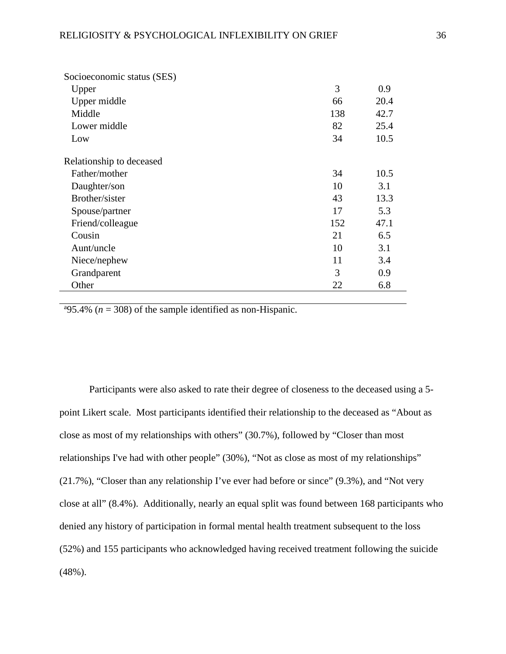| Socioeconomic status (SES) |     |      |
|----------------------------|-----|------|
| Upper                      | 3   | 0.9  |
| Upper middle               | 66  | 20.4 |
| Middle                     | 138 | 42.7 |
| Lower middle               | 82  | 25.4 |
| Low                        | 34  | 10.5 |
| Relationship to deceased   |     |      |
| Father/mother              | 34  | 10.5 |
| Daughter/son               | 10  | 3.1  |
| Brother/sister             | 43  | 13.3 |
| Spouse/partner             | 17  | 5.3  |
| Friend/colleague           | 152 | 47.1 |
| Cousin                     | 21  | 6.5  |
| Aunt/uncle                 | 10  | 3.1  |
| Niece/nephew               | 11  | 3.4  |
| Grandparent                | 3   | 0.9  |
| Other                      | 22  | 6.8  |

<sup>a</sup>95.4% ( $n = 308$ ) of the sample identified as non-Hispanic.

Participants were also asked to rate their degree of closeness to the deceased using a 5 point Likert scale. Most participants identified their relationship to the deceased as "About as close as most of my relationships with others" (30.7%), followed by "Closer than most relationships I've had with other people" (30%), "Not as close as most of my relationships" (21.7%), "Closer than any relationship I've ever had before or since" (9.3%), and "Not very close at all" (8.4%). Additionally, nearly an equal split was found between 168 participants who denied any history of participation in formal mental health treatment subsequent to the loss (52%) and 155 participants who acknowledged having received treatment following the suicide (48%).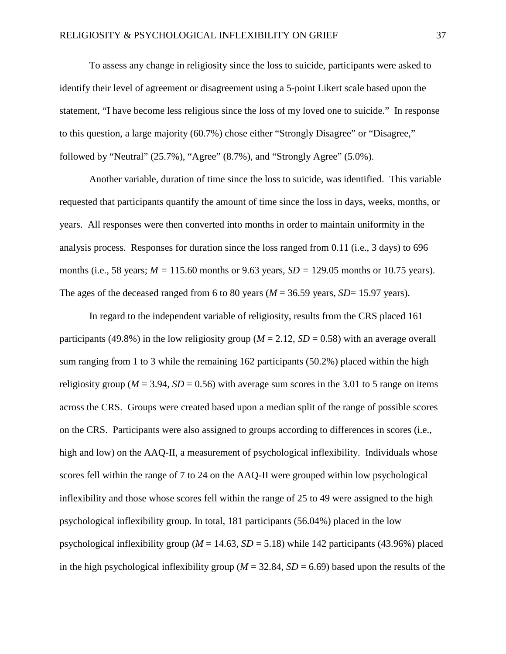To assess any change in religiosity since the loss to suicide, participants were asked to identify their level of agreement or disagreement using a 5-point Likert scale based upon the statement, "I have become less religious since the loss of my loved one to suicide." In response to this question, a large majority (60.7%) chose either "Strongly Disagree" or "Disagree," followed by "Neutral"  $(25.7\%)$ , "Agree"  $(8.7\%)$ , and "Strongly Agree"  $(5.0\%)$ .

Another variable, duration of time since the loss to suicide, was identified. This variable requested that participants quantify the amount of time since the loss in days, weeks, months, or years. All responses were then converted into months in order to maintain uniformity in the analysis process. Responses for duration since the loss ranged from 0.11 (i.e., 3 days) to 696 months (i.e., 58 years; *M =* 115.60 months or 9.63 years*, SD =* 129.05 months or 10.75 years). The ages of the deceased ranged from 6 to 80 years ( $M = 36.59$  years,  $SD = 15.97$  years).

In regard to the independent variable of religiosity, results from the CRS placed 161 participants (49.8%) in the low religiosity group ( $M = 2.12$ ,  $SD = 0.58$ ) with an average overall sum ranging from 1 to 3 while the remaining 162 participants (50.2%) placed within the high religiosity group ( $M = 3.94$ ,  $SD = 0.56$ ) with average sum scores in the 3.01 to 5 range on items across the CRS. Groups were created based upon a median split of the range of possible scores on the CRS. Participants were also assigned to groups according to differences in scores (i.e., high and low) on the AAQ-II, a measurement of psychological inflexibility. Individuals whose scores fell within the range of 7 to 24 on the AAQ-II were grouped within low psychological inflexibility and those whose scores fell within the range of 25 to 49 were assigned to the high psychological inflexibility group. In total, 181 participants (56.04%) placed in the low psychological inflexibility group ( $M = 14.63$ ,  $SD = 5.18$ ) while 142 participants (43.96%) placed in the high psychological inflexibility group ( $M = 32.84$ ,  $SD = 6.69$ ) based upon the results of the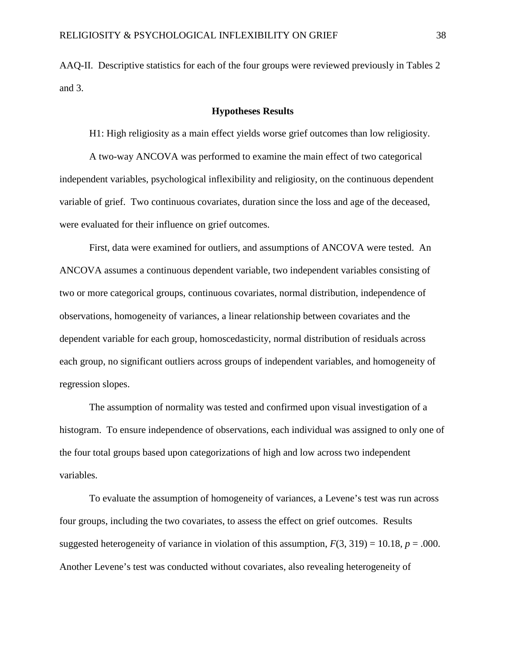AAQ-II. Descriptive statistics for each of the four groups were reviewed previously in Tables 2 and 3.

### **Hypotheses Results**

H1: High religiosity as a main effect yields worse grief outcomes than low religiosity.

A two-way ANCOVA was performed to examine the main effect of two categorical independent variables, psychological inflexibility and religiosity, on the continuous dependent variable of grief. Two continuous covariates, duration since the loss and age of the deceased, were evaluated for their influence on grief outcomes.

First, data were examined for outliers, and assumptions of ANCOVA were tested. An ANCOVA assumes a continuous dependent variable, two independent variables consisting of two or more categorical groups, continuous covariates, normal distribution, independence of observations, homogeneity of variances, a linear relationship between covariates and the dependent variable for each group, homoscedasticity, normal distribution of residuals across each group, no significant outliers across groups of independent variables, and homogeneity of regression slopes.

The assumption of normality was tested and confirmed upon visual investigation of a histogram. To ensure independence of observations, each individual was assigned to only one of the four total groups based upon categorizations of high and low across two independent variables.

To evaluate the assumption of homogeneity of variances, a Levene's test was run across four groups, including the two covariates, to assess the effect on grief outcomes. Results suggested heterogeneity of variance in violation of this assumption,  $F(3, 319) = 10.18$ ,  $p = .000$ . Another Levene's test was conducted without covariates, also revealing heterogeneity of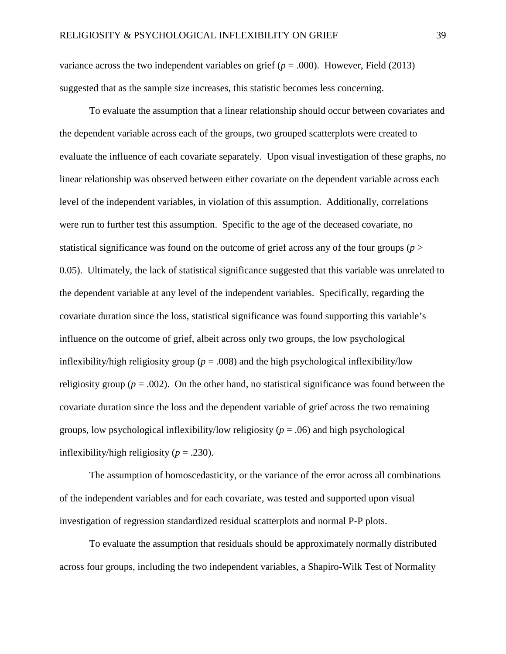variance across the two independent variables on grief (*p* = .000). However, Field (2013) suggested that as the sample size increases, this statistic becomes less concerning.

To evaluate the assumption that a linear relationship should occur between covariates and the dependent variable across each of the groups, two grouped scatterplots were created to evaluate the influence of each covariate separately. Upon visual investigation of these graphs, no linear relationship was observed between either covariate on the dependent variable across each level of the independent variables, in violation of this assumption. Additionally, correlations were run to further test this assumption. Specific to the age of the deceased covariate, no statistical significance was found on the outcome of grief across any of the four groups (*p* > 0.05). Ultimately, the lack of statistical significance suggested that this variable was unrelated to the dependent variable at any level of the independent variables. Specifically, regarding the covariate duration since the loss, statistical significance was found supporting this variable's influence on the outcome of grief, albeit across only two groups, the low psychological inflexibility/high religiosity group ( $p = .008$ ) and the high psychological inflexibility/low religiosity group ( $p = .002$ ). On the other hand, no statistical significance was found between the covariate duration since the loss and the dependent variable of grief across the two remaining groups, low psychological inflexibility/low religiosity (*p* = .06) and high psychological inflexibility/high religiosity  $(p = .230)$ .

The assumption of homoscedasticity, or the variance of the error across all combinations of the independent variables and for each covariate, was tested and supported upon visual investigation of regression standardized residual scatterplots and normal P-P plots.

To evaluate the assumption that residuals should be approximately normally distributed across four groups, including the two independent variables, a Shapiro-Wilk Test of Normality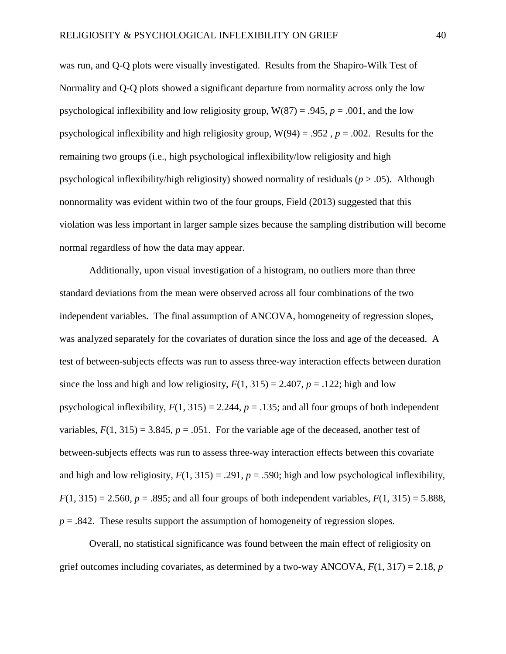was run, and Q-Q plots were visually investigated. Results from the Shapiro-Wilk Test of Normality and Q-Q plots showed a significant departure from normality across only the low psychological inflexibility and low religiosity group,  $W(87) = .945$ ,  $p = .001$ , and the low psychological inflexibility and high religiosity group,  $W(94) = .952$ ,  $p = .002$ . Results for the remaining two groups (i.e., high psychological inflexibility/low religiosity and high psychological inflexibility/high religiosity) showed normality of residuals (*p* > .05). Although nonnormality was evident within two of the four groups, Field (2013) suggested that this violation was less important in larger sample sizes because the sampling distribution will become normal regardless of how the data may appear.

Additionally, upon visual investigation of a histogram, no outliers more than three standard deviations from the mean were observed across all four combinations of the two independent variables. The final assumption of ANCOVA, homogeneity of regression slopes, was analyzed separately for the covariates of duration since the loss and age of the deceased. A test of between-subjects effects was run to assess three-way interaction effects between duration since the loss and high and low religiosity,  $F(1, 315) = 2.407$ ,  $p = .122$ ; high and low psychological inflexibility,  $F(1, 315) = 2.244$ ,  $p = .135$ ; and all four groups of both independent variables,  $F(1, 315) = 3.845$ ,  $p = .051$ . For the variable age of the deceased, another test of between-subjects effects was run to assess three-way interaction effects between this covariate and high and low religiosity,  $F(1, 315) = .291$ ,  $p = .590$ ; high and low psychological inflexibility,  $F(1, 315) = 2.560$ ,  $p = .895$ ; and all four groups of both independent variables,  $F(1, 315) = 5.888$ ,  $p = .842$ . These results support the assumption of homogeneity of regression slopes.

Overall, no statistical significance was found between the main effect of religiosity on grief outcomes including covariates, as determined by a two-way ANCOVA,  $F(1, 317) = 2.18$ , *p*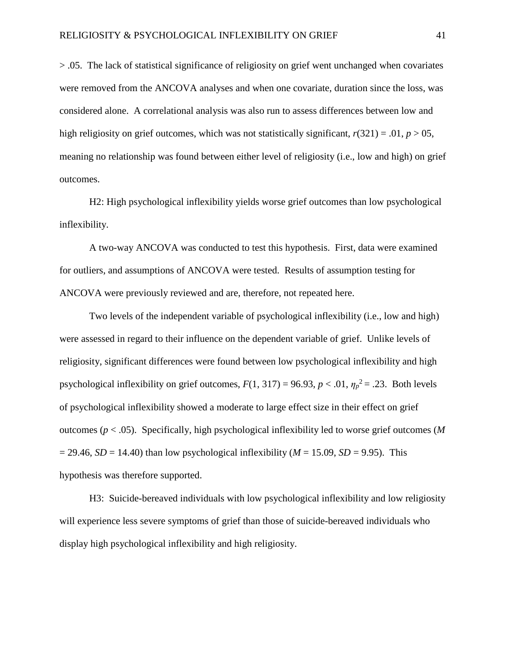> .05. The lack of statistical significance of religiosity on grief went unchanged when covariates were removed from the ANCOVA analyses and when one covariate, duration since the loss, was considered alone. A correlational analysis was also run to assess differences between low and high religiosity on grief outcomes, which was not statistically significant,  $r(321) = .01$ ,  $p > 05$ , meaning no relationship was found between either level of religiosity (i.e., low and high) on grief outcomes.

H2: High psychological inflexibility yields worse grief outcomes than low psychological inflexibility.

A two-way ANCOVA was conducted to test this hypothesis. First, data were examined for outliers, and assumptions of ANCOVA were tested. Results of assumption testing for ANCOVA were previously reviewed and are, therefore, not repeated here.

Two levels of the independent variable of psychological inflexibility (i.e., low and high) were assessed in regard to their influence on the dependent variable of grief. Unlike levels of religiosity, significant differences were found between low psychological inflexibility and high psychological inflexibility on grief outcomes,  $F(1, 317) = 96.93$ ,  $p < .01$ ,  $\eta_p^2 = .23$ . Both levels of psychological inflexibility showed a moderate to large effect size in their effect on grief outcomes (*p* < .05). Specifically, high psychological inflexibility led to worse grief outcomes (*M*   $= 29.46$ , *SD* = 14.40) than low psychological inflexibility (*M* = 15.09, *SD* = 9.95). This hypothesis was therefore supported.

H3: Suicide-bereaved individuals with low psychological inflexibility and low religiosity will experience less severe symptoms of grief than those of suicide-bereaved individuals who display high psychological inflexibility and high religiosity.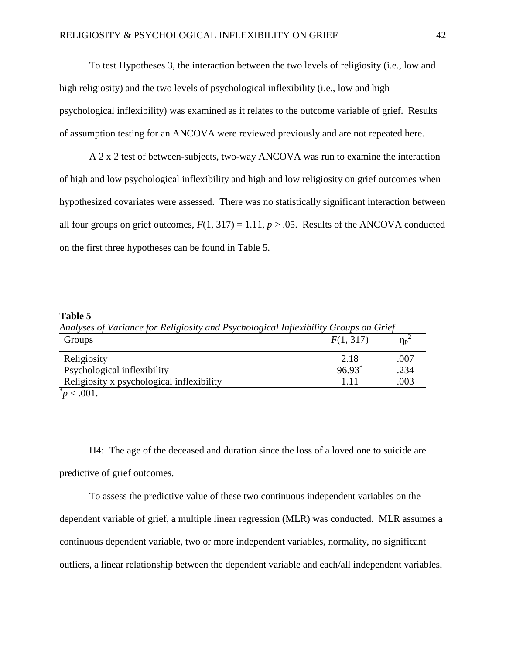To test Hypotheses 3, the interaction between the two levels of religiosity (i.e., low and high religiosity) and the two levels of psychological inflexibility (i.e., low and high psychological inflexibility) was examined as it relates to the outcome variable of grief. Results of assumption testing for an ANCOVA were reviewed previously and are not repeated here.

A 2 x 2 test of between-subjects, two-way ANCOVA was run to examine the interaction of high and low psychological inflexibility and high and low religiosity on grief outcomes when hypothesized covariates were assessed. There was no statistically significant interaction between all four groups on grief outcomes,  $F(1, 317) = 1.11$ ,  $p > .05$ . Results of the ANCOVA conducted on the first three hypotheses can be found in Table 5.

#### **Table 5**

*Analyses of Variance for Religiosity and Psychological Inflexibility Groups on Grief* Groups  $F(1, 317)$   $\eta_p$  $\eta_p^2$ Religiosity 2.18 .007 Psychological inflexibility  $96.93^*$  .234 Religiosity x psychological inflexibility 1.11 .003  $p^*$   $> 0.001$ .

To assess the predictive value of these two continuous independent variables on the dependent variable of grief, a multiple linear regression (MLR) was conducted. MLR assumes a continuous dependent variable, two or more independent variables, normality, no significant outliers, a linear relationship between the dependent variable and each/all independent variables,

H4: The age of the deceased and duration since the loss of a loved one to suicide are predictive of grief outcomes.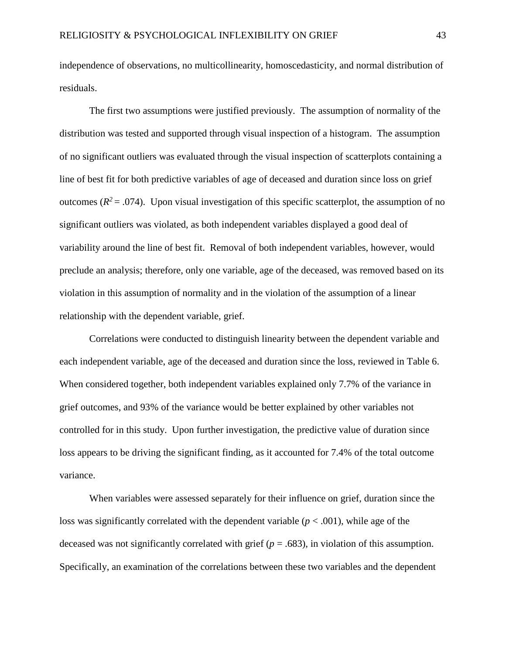independence of observations, no multicollinearity, homoscedasticity, and normal distribution of residuals.

The first two assumptions were justified previously. The assumption of normality of the distribution was tested and supported through visual inspection of a histogram. The assumption of no significant outliers was evaluated through the visual inspection of scatterplots containing a line of best fit for both predictive variables of age of deceased and duration since loss on grief outcomes  $(R^2 = .074)$ . Upon visual investigation of this specific scatterplot, the assumption of no significant outliers was violated, as both independent variables displayed a good deal of variability around the line of best fit. Removal of both independent variables, however, would preclude an analysis; therefore, only one variable, age of the deceased, was removed based on its violation in this assumption of normality and in the violation of the assumption of a linear relationship with the dependent variable, grief.

Correlations were conducted to distinguish linearity between the dependent variable and each independent variable, age of the deceased and duration since the loss, reviewed in Table 6. When considered together, both independent variables explained only 7.7% of the variance in grief outcomes, and 93% of the variance would be better explained by other variables not controlled for in this study. Upon further investigation, the predictive value of duration since loss appears to be driving the significant finding, as it accounted for 7.4% of the total outcome variance.

When variables were assessed separately for their influence on grief, duration since the loss was significantly correlated with the dependent variable (*p* < .001), while age of the deceased was not significantly correlated with grief (*p* = .683), in violation of this assumption. Specifically, an examination of the correlations between these two variables and the dependent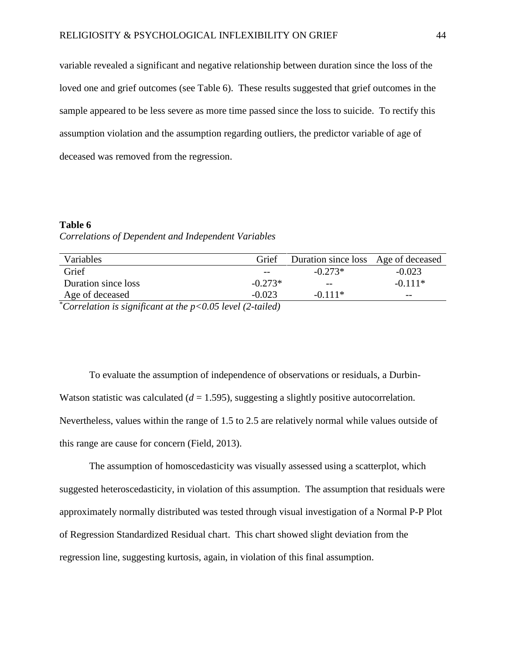variable revealed a significant and negative relationship between duration since the loss of the loved one and grief outcomes (see Table 6). These results suggested that grief outcomes in the sample appeared to be less severe as more time passed since the loss to suicide. To rectify this assumption violation and the assumption regarding outliers, the predictor variable of age of deceased was removed from the regression.

# **Table 6**  *Correlations of Dependent and Independent Variables*

| Variables                                                         | Grief     | Duration since loss Age of deceased |           |
|-------------------------------------------------------------------|-----------|-------------------------------------|-----------|
| Grief                                                             | $- -$     | $-0.273*$                           | $-0.023$  |
| Duration since loss                                               | $-0.273*$ | $- -$                               | $-0.111*$ |
| Age of deceased                                                   | $-0.023$  | $-0.111*$                           | $- -$     |
| $^*$ Correlation is significant at the $n < 0.05$ level $(2 \nta$ |           |                                     |           |

\* *Correlation is significant at the p<0.05 level (2-tailed)*

To evaluate the assumption of independence of observations or residuals, a Durbin-Watson statistic was calculated (*d* = 1.595), suggesting a slightly positive autocorrelation. Nevertheless, values within the range of 1.5 to 2.5 are relatively normal while values outside of this range are cause for concern (Field, 2013).

The assumption of homoscedasticity was visually assessed using a scatterplot, which suggested heteroscedasticity, in violation of this assumption. The assumption that residuals were approximately normally distributed was tested through visual investigation of a Normal P-P Plot of Regression Standardized Residual chart. This chart showed slight deviation from the regression line, suggesting kurtosis, again, in violation of this final assumption.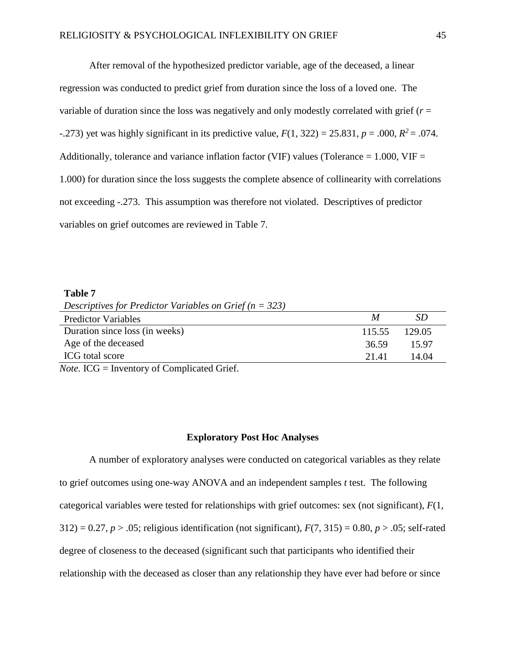After removal of the hypothesized predictor variable, age of the deceased, a linear regression was conducted to predict grief from duration since the loss of a loved one. The variable of duration since the loss was negatively and only modestly correlated with grief (*r* = -.273) yet was highly significant in its predictive value,  $F(1, 322) = 25.831$ ,  $p = .000$ ,  $R^2 = .074$ . Additionally, tolerance and variance inflation factor (VIF) values (Tolerance  $= 1.000$ , VIF  $=$ 1.000) for duration since the loss suggests the complete absence of collinearity with correlations not exceeding -.273. This assumption was therefore not violated. Descriptives of predictor variables on grief outcomes are reviewed in Table 7.

#### **Table 7**

*Descriptives for Predictor Variables on Grief (n = 323)*

| <b>Predictor Variables</b>                                                                                                                                                                                                                                                                                                                                                                    | M      | SD     |
|-----------------------------------------------------------------------------------------------------------------------------------------------------------------------------------------------------------------------------------------------------------------------------------------------------------------------------------------------------------------------------------------------|--------|--------|
| Duration since loss (in weeks)                                                                                                                                                                                                                                                                                                                                                                | 115.55 | 129.05 |
| Age of the deceased                                                                                                                                                                                                                                                                                                                                                                           | 36.59  | 15.97  |
| ICG total score                                                                                                                                                                                                                                                                                                                                                                               | 21.41  | 14.04  |
| $\mathbf{v}$ $\mathbf{v}$ $\mathbf{v}$ $\mathbf{v}$ $\mathbf{v}$ $\mathbf{v}$ $\mathbf{v}$ $\mathbf{v}$ $\mathbf{v}$ $\mathbf{v}$ $\mathbf{v}$ $\mathbf{v}$ $\mathbf{v}$ $\mathbf{v}$ $\mathbf{v}$ $\mathbf{v}$ $\mathbf{v}$ $\mathbf{v}$ $\mathbf{v}$ $\mathbf{v}$ $\mathbf{v}$ $\mathbf{v}$ $\mathbf{v}$ $\mathbf{v}$ $\mathbf{$<br>$\sim$ $\sim$ $\sim$ $\sim$ $\sim$ $\sim$ $\sim$ $\sim$ |        |        |

*Note.* ICG = Inventory of Complicated Grief.

### **Exploratory Post Hoc Analyses**

A number of exploratory analyses were conducted on categorical variables as they relate to grief outcomes using one-way ANOVA and an independent samples *t* test. The following categorical variables were tested for relationships with grief outcomes: sex (not significant), *F*(1,  $312$ ) = 0.27, *p* > .05; religious identification (not significant),  $F(7, 315) = 0.80$ , *p* > .05; self-rated degree of closeness to the deceased (significant such that participants who identified their relationship with the deceased as closer than any relationship they have ever had before or since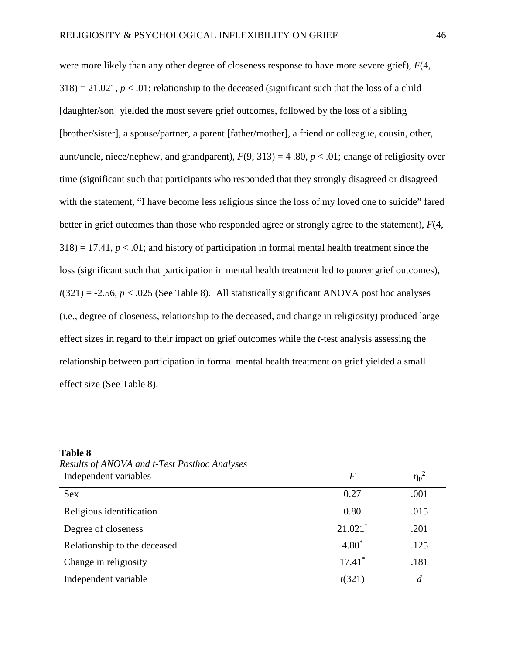were more likely than any other degree of closeness response to have more severe grief), *F*(4,  $318$ ) = 21.021,  $p < 0.01$ ; relationship to the deceased (significant such that the loss of a child [daughter/son] yielded the most severe grief outcomes, followed by the loss of a sibling [brother/sister], a spouse/partner, a parent [father/mother], a friend or colleague, cousin, other, aunt/uncle, niece/nephew, and grandparent),  $F(9, 313) = 4.80$ ,  $p < .01$ ; change of religiosity over time (significant such that participants who responded that they strongly disagreed or disagreed with the statement, "I have become less religious since the loss of my loved one to suicide" fared better in grief outcomes than those who responded agree or strongly agree to the statement), *F*(4,  $318$ ) = 17.41,  $p < 0.01$ ; and history of participation in formal mental health treatment since the loss (significant such that participation in mental health treatment led to poorer grief outcomes),  $t(321) = -2.56$ ,  $p < .025$  (See Table 8). All statistically significant ANOVA post hoc analyses (i.e., degree of closeness, relationship to the deceased, and change in religiosity) produced large effect sizes in regard to their impact on grief outcomes while the *t*-test analysis assessing the relationship between participation in formal mental health treatment on grief yielded a small effect size (See Table 8).

#### **Table 8**

*Results of ANOVA and t-Test Posthoc Analyses*

| Independent variables        | $\boldsymbol{F}$      | $\overline{\eta_p}^2$ |
|------------------------------|-----------------------|-----------------------|
| <b>Sex</b>                   | 0.27                  | .001                  |
| Religious identification     | 0.80                  | .015                  |
| Degree of closeness          | $21.021$ <sup>*</sup> | .201                  |
| Relationship to the deceased | $4.80*$               | .125                  |
| Change in religiosity        | $17.41*$              | .181                  |
| Independent variable         | t(321)                | $\boldsymbol{d}$      |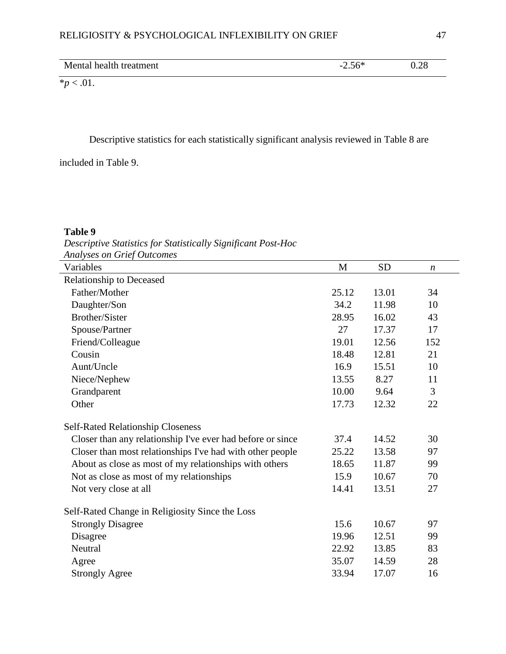| Mental health treatment | <b>- </b><br>$-1$<br>$\overline{\phantom{0}}$<br>∠.∪ | $\sim$<br>$\overline{\phantom{a}}$<br>$\cup$ . $\sim$ 0 |
|-------------------------|------------------------------------------------------|---------------------------------------------------------|

 $*_{p} < .01$ .

Descriptive statistics for each statistically significant analysis reviewed in Table 8 are

included in Table 9.

# **Table 9**

*Descriptive Statistics for Statistically Significant Post-Hoc Analyses on Grief Outcomes*

| Variables                                                  | M     | <b>SD</b> | $\boldsymbol{n}$ |
|------------------------------------------------------------|-------|-----------|------------------|
| <b>Relationship to Deceased</b>                            |       |           |                  |
| Father/Mother                                              | 25.12 | 13.01     | 34               |
| Daughter/Son                                               | 34.2  | 11.98     | 10               |
| Brother/Sister                                             | 28.95 | 16.02     | 43               |
| Spouse/Partner                                             | 27    | 17.37     | 17               |
| Friend/Colleague                                           | 19.01 | 12.56     | 152              |
| Cousin                                                     | 18.48 | 12.81     | 21               |
| Aunt/Uncle                                                 | 16.9  | 15.51     | 10               |
| Niece/Nephew                                               | 13.55 | 8.27      | 11               |
| Grandparent                                                | 10.00 | 9.64      | 3                |
| Other                                                      | 17.73 | 12.32     | 22               |
| <b>Self-Rated Relationship Closeness</b>                   |       |           |                  |
| Closer than any relationship I've ever had before or since | 37.4  | 14.52     | 30               |
| Closer than most relationships I've had with other people  | 25.22 | 13.58     | 97               |
| About as close as most of my relationships with others     | 18.65 | 11.87     | 99               |
| Not as close as most of my relationships                   | 15.9  | 10.67     | 70               |
| Not very close at all                                      | 14.41 | 13.51     | 27               |
| Self-Rated Change in Religiosity Since the Loss            |       |           |                  |
| <b>Strongly Disagree</b>                                   | 15.6  | 10.67     | 97               |
| Disagree                                                   | 19.96 | 12.51     | 99               |
| Neutral                                                    | 22.92 | 13.85     | 83               |
| Agree                                                      | 35.07 | 14.59     | 28               |
| <b>Strongly Agree</b>                                      | 33.94 | 17.07     | 16               |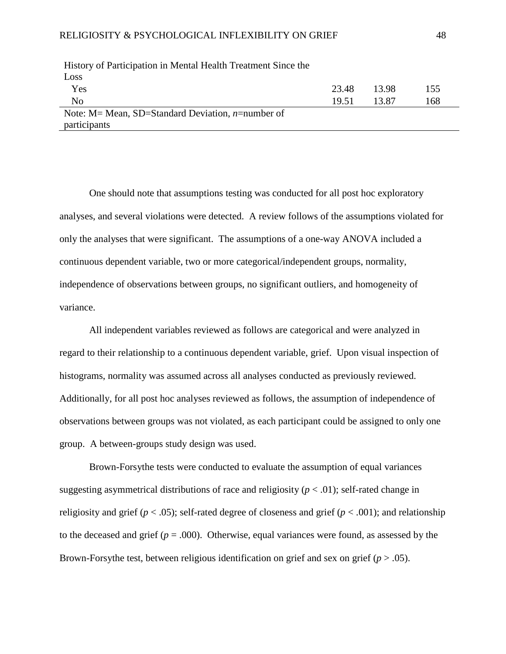| Thotory of Furtherputton in meman freuth freuthern binee the |       |       |     |
|--------------------------------------------------------------|-------|-------|-----|
| Loss                                                         |       |       |     |
| Yes                                                          | 23.48 | 13.98 | 155 |
| No                                                           | 19.51 | 13.87 | 168 |
| Note: M = Mean, SD = Standard Deviation, $n$ = number of     |       |       |     |
| participants                                                 |       |       |     |

History of Participation in Mental Health Treatment Since the

One should note that assumptions testing was conducted for all post hoc exploratory analyses, and several violations were detected. A review follows of the assumptions violated for only the analyses that were significant. The assumptions of a one-way ANOVA included a continuous dependent variable, two or more categorical/independent groups, normality, independence of observations between groups, no significant outliers, and homogeneity of variance.

All independent variables reviewed as follows are categorical and were analyzed in regard to their relationship to a continuous dependent variable, grief. Upon visual inspection of histograms, normality was assumed across all analyses conducted as previously reviewed. Additionally, for all post hoc analyses reviewed as follows, the assumption of independence of observations between groups was not violated, as each participant could be assigned to only one group. A between-groups study design was used.

Brown-Forsythe tests were conducted to evaluate the assumption of equal variances suggesting asymmetrical distributions of race and religiosity  $(p < .01)$ ; self-rated change in religiosity and grief (*p* < .05); self-rated degree of closeness and grief (*p* < .001); and relationship to the deceased and grief  $(p = .000)$ . Otherwise, equal variances were found, as assessed by the Brown-Forsythe test, between religious identification on grief and sex on grief (*p* > .05).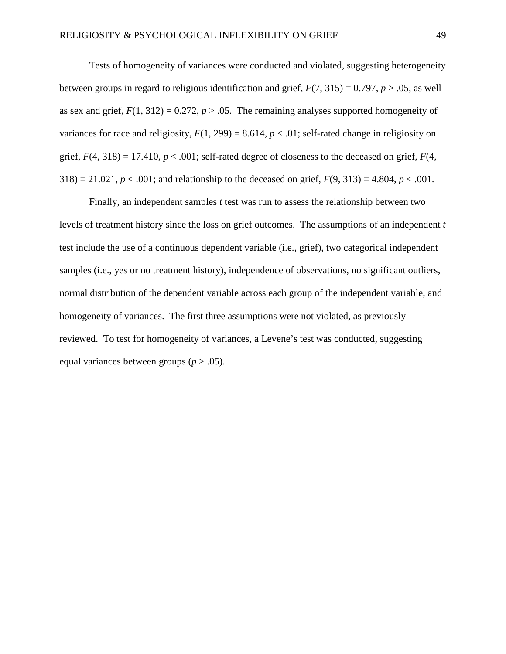Tests of homogeneity of variances were conducted and violated, suggesting heterogeneity between groups in regard to religious identification and grief,  $F(7, 315) = 0.797$ ,  $p > .05$ , as well as sex and grief,  $F(1, 312) = 0.272$ ,  $p > 0.05$ . The remaining analyses supported homogeneity of variances for race and religiosity,  $F(1, 299) = 8.614$ ,  $p < .01$ ; self-rated change in religiosity on grief,  $F(4, 318) = 17.410$ ,  $p < .001$ ; self-rated degree of closeness to the deceased on grief,  $F(4, 16)$  $318$ ) = 21.021, *p* < .001; and relationship to the deceased on grief,  $F(9, 313) = 4.804$ , *p* < .001.

Finally, an independent samples *t* test was run to assess the relationship between two levels of treatment history since the loss on grief outcomes. The assumptions of an independent *t* test include the use of a continuous dependent variable (i.e., grief), two categorical independent samples (i.e., yes or no treatment history), independence of observations, no significant outliers, normal distribution of the dependent variable across each group of the independent variable, and homogeneity of variances. The first three assumptions were not violated, as previously reviewed. To test for homogeneity of variances, a Levene's test was conducted, suggesting equal variances between groups  $(p > .05)$ .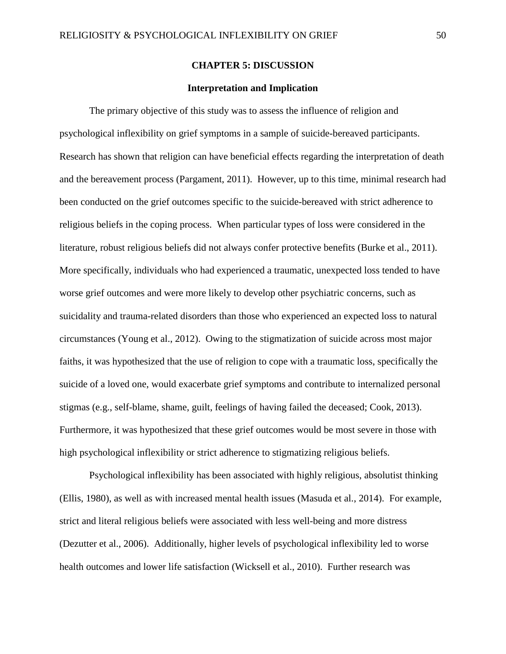### **CHAPTER 5: DISCUSSION**

### **Interpretation and Implication**

The primary objective of this study was to assess the influence of religion and psychological inflexibility on grief symptoms in a sample of suicide-bereaved participants. Research has shown that religion can have beneficial effects regarding the interpretation of death and the bereavement process (Pargament, 2011). However, up to this time, minimal research had been conducted on the grief outcomes specific to the suicide-bereaved with strict adherence to religious beliefs in the coping process. When particular types of loss were considered in the literature, robust religious beliefs did not always confer protective benefits (Burke et al., 2011). More specifically, individuals who had experienced a traumatic, unexpected loss tended to have worse grief outcomes and were more likely to develop other psychiatric concerns, such as suicidality and trauma-related disorders than those who experienced an expected loss to natural circumstances (Young et al., 2012). Owing to the stigmatization of suicide across most major faiths, it was hypothesized that the use of religion to cope with a traumatic loss, specifically the suicide of a loved one, would exacerbate grief symptoms and contribute to internalized personal stigmas (e.g., self-blame, shame, guilt, feelings of having failed the deceased; Cook, 2013). Furthermore, it was hypothesized that these grief outcomes would be most severe in those with high psychological inflexibility or strict adherence to stigmatizing religious beliefs.

Psychological inflexibility has been associated with highly religious, absolutist thinking (Ellis, 1980), as well as with increased mental health issues (Masuda et al., 2014). For example, strict and literal religious beliefs were associated with less well-being and more distress (Dezutter et al., 2006). Additionally, higher levels of psychological inflexibility led to worse health outcomes and lower life satisfaction (Wicksell et al., 2010). Further research was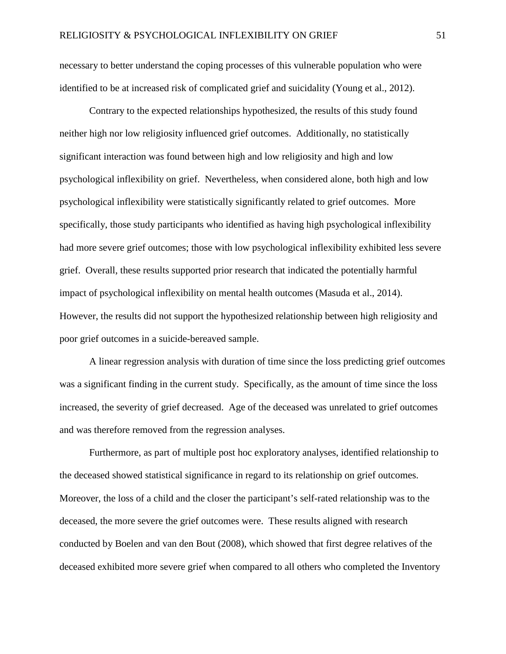necessary to better understand the coping processes of this vulnerable population who were identified to be at increased risk of complicated grief and suicidality (Young et al., 2012).

Contrary to the expected relationships hypothesized, the results of this study found neither high nor low religiosity influenced grief outcomes. Additionally, no statistically significant interaction was found between high and low religiosity and high and low psychological inflexibility on grief. Nevertheless, when considered alone, both high and low psychological inflexibility were statistically significantly related to grief outcomes. More specifically, those study participants who identified as having high psychological inflexibility had more severe grief outcomes; those with low psychological inflexibility exhibited less severe grief. Overall, these results supported prior research that indicated the potentially harmful impact of psychological inflexibility on mental health outcomes (Masuda et al., 2014). However, the results did not support the hypothesized relationship between high religiosity and poor grief outcomes in a suicide-bereaved sample.

A linear regression analysis with duration of time since the loss predicting grief outcomes was a significant finding in the current study. Specifically, as the amount of time since the loss increased, the severity of grief decreased. Age of the deceased was unrelated to grief outcomes and was therefore removed from the regression analyses.

Furthermore, as part of multiple post hoc exploratory analyses, identified relationship to the deceased showed statistical significance in regard to its relationship on grief outcomes. Moreover, the loss of a child and the closer the participant's self-rated relationship was to the deceased, the more severe the grief outcomes were. These results aligned with research conducted by Boelen and van den Bout (2008), which showed that first degree relatives of the deceased exhibited more severe grief when compared to all others who completed the Inventory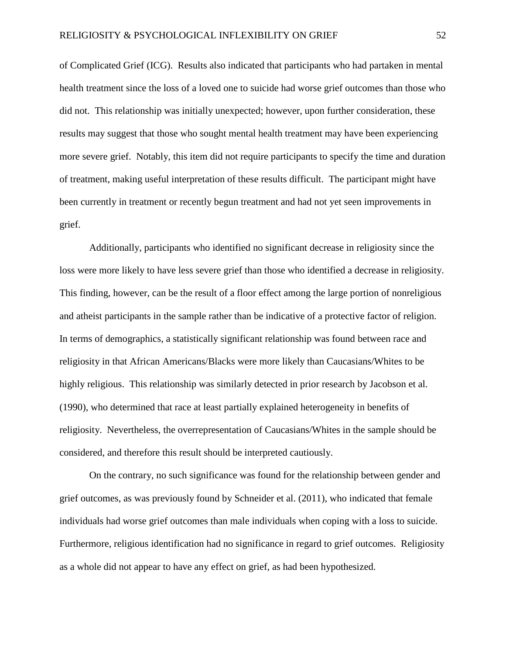of Complicated Grief (ICG). Results also indicated that participants who had partaken in mental health treatment since the loss of a loved one to suicide had worse grief outcomes than those who did not. This relationship was initially unexpected; however, upon further consideration, these results may suggest that those who sought mental health treatment may have been experiencing more severe grief. Notably, this item did not require participants to specify the time and duration of treatment, making useful interpretation of these results difficult. The participant might have been currently in treatment or recently begun treatment and had not yet seen improvements in grief.

Additionally, participants who identified no significant decrease in religiosity since the loss were more likely to have less severe grief than those who identified a decrease in religiosity. This finding, however, can be the result of a floor effect among the large portion of nonreligious and atheist participants in the sample rather than be indicative of a protective factor of religion. In terms of demographics, a statistically significant relationship was found between race and religiosity in that African Americans/Blacks were more likely than Caucasians/Whites to be highly religious. This relationship was similarly detected in prior research by Jacobson et al. (1990), who determined that race at least partially explained heterogeneity in benefits of religiosity. Nevertheless, the overrepresentation of Caucasians/Whites in the sample should be considered, and therefore this result should be interpreted cautiously.

On the contrary, no such significance was found for the relationship between gender and grief outcomes, as was previously found by Schneider et al. (2011), who indicated that female individuals had worse grief outcomes than male individuals when coping with a loss to suicide. Furthermore, religious identification had no significance in regard to grief outcomes. Religiosity as a whole did not appear to have any effect on grief, as had been hypothesized.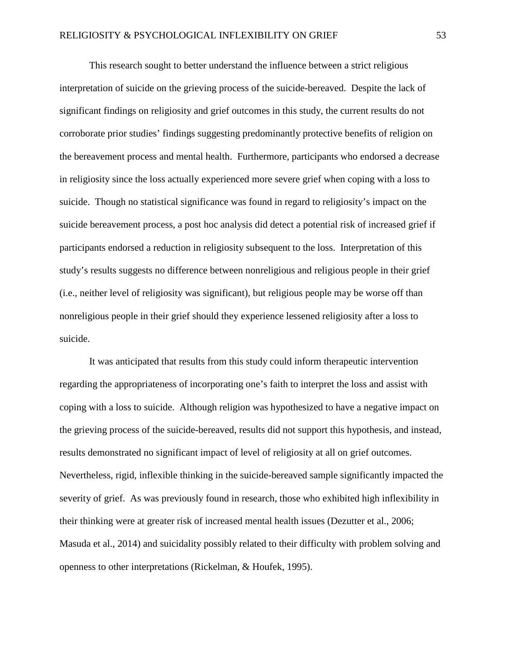This research sought to better understand the influence between a strict religious interpretation of suicide on the grieving process of the suicide-bereaved. Despite the lack of significant findings on religiosity and grief outcomes in this study, the current results do not corroborate prior studies' findings suggesting predominantly protective benefits of religion on the bereavement process and mental health. Furthermore, participants who endorsed a decrease in religiosity since the loss actually experienced more severe grief when coping with a loss to suicide. Though no statistical significance was found in regard to religiosity's impact on the suicide bereavement process, a post hoc analysis did detect a potential risk of increased grief if participants endorsed a reduction in religiosity subsequent to the loss. Interpretation of this study's results suggests no difference between nonreligious and religious people in their grief (i.e., neither level of religiosity was significant), but religious people may be worse off than nonreligious people in their grief should they experience lessened religiosity after a loss to suicide.

It was anticipated that results from this study could inform therapeutic intervention regarding the appropriateness of incorporating one's faith to interpret the loss and assist with coping with a loss to suicide. Although religion was hypothesized to have a negative impact on the grieving process of the suicide-bereaved, results did not support this hypothesis, and instead, results demonstrated no significant impact of level of religiosity at all on grief outcomes. Nevertheless, rigid, inflexible thinking in the suicide-bereaved sample significantly impacted the severity of grief. As was previously found in research, those who exhibited high inflexibility in their thinking were at greater risk of increased mental health issues (Dezutter et al., 2006; Masuda et al., 2014) and suicidality possibly related to their difficulty with problem solving and openness to other interpretations (Rickelman, & Houfek, 1995).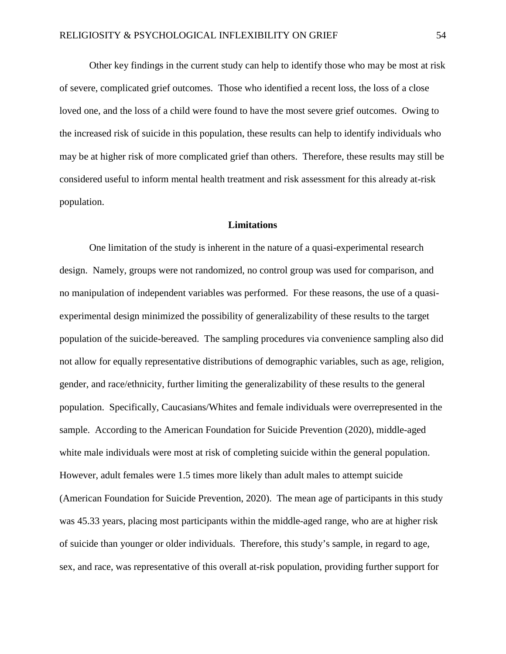Other key findings in the current study can help to identify those who may be most at risk of severe, complicated grief outcomes. Those who identified a recent loss, the loss of a close loved one, and the loss of a child were found to have the most severe grief outcomes. Owing to the increased risk of suicide in this population, these results can help to identify individuals who may be at higher risk of more complicated grief than others. Therefore, these results may still be considered useful to inform mental health treatment and risk assessment for this already at-risk population.

### **Limitations**

One limitation of the study is inherent in the nature of a quasi-experimental research design. Namely, groups were not randomized, no control group was used for comparison, and no manipulation of independent variables was performed. For these reasons, the use of a quasiexperimental design minimized the possibility of generalizability of these results to the target population of the suicide-bereaved. The sampling procedures via convenience sampling also did not allow for equally representative distributions of demographic variables, such as age, religion, gender, and race/ethnicity, further limiting the generalizability of these results to the general population. Specifically, Caucasians/Whites and female individuals were overrepresented in the sample. According to the American Foundation for Suicide Prevention (2020), middle-aged white male individuals were most at risk of completing suicide within the general population. However, adult females were 1.5 times more likely than adult males to attempt suicide (American Foundation for Suicide Prevention, 2020). The mean age of participants in this study was 45.33 years, placing most participants within the middle-aged range, who are at higher risk of suicide than younger or older individuals. Therefore, this study's sample, in regard to age, sex, and race, was representative of this overall at-risk population, providing further support for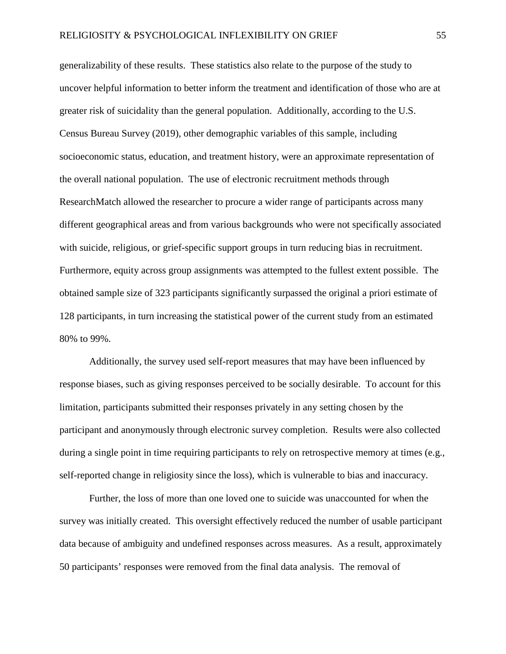generalizability of these results. These statistics also relate to the purpose of the study to uncover helpful information to better inform the treatment and identification of those who are at greater risk of suicidality than the general population. Additionally, according to the U.S. Census Bureau Survey (2019), other demographic variables of this sample, including socioeconomic status, education, and treatment history, were an approximate representation of the overall national population. The use of electronic recruitment methods through ResearchMatch allowed the researcher to procure a wider range of participants across many different geographical areas and from various backgrounds who were not specifically associated with suicide, religious, or grief-specific support groups in turn reducing bias in recruitment. Furthermore, equity across group assignments was attempted to the fullest extent possible. The obtained sample size of 323 participants significantly surpassed the original a priori estimate of 128 participants, in turn increasing the statistical power of the current study from an estimated 80% to 99%.

Additionally, the survey used self-report measures that may have been influenced by response biases, such as giving responses perceived to be socially desirable. To account for this limitation, participants submitted their responses privately in any setting chosen by the participant and anonymously through electronic survey completion. Results were also collected during a single point in time requiring participants to rely on retrospective memory at times (e.g., self-reported change in religiosity since the loss), which is vulnerable to bias and inaccuracy.

Further, the loss of more than one loved one to suicide was unaccounted for when the survey was initially created. This oversight effectively reduced the number of usable participant data because of ambiguity and undefined responses across measures. As a result, approximately 50 participants' responses were removed from the final data analysis. The removal of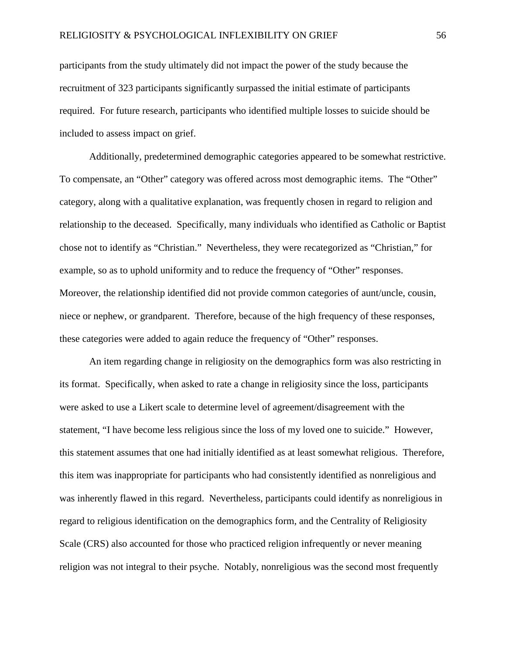participants from the study ultimately did not impact the power of the study because the recruitment of 323 participants significantly surpassed the initial estimate of participants required. For future research, participants who identified multiple losses to suicide should be included to assess impact on grief.

Additionally, predetermined demographic categories appeared to be somewhat restrictive. To compensate, an "Other" category was offered across most demographic items. The "Other" category, along with a qualitative explanation, was frequently chosen in regard to religion and relationship to the deceased. Specifically, many individuals who identified as Catholic or Baptist chose not to identify as "Christian." Nevertheless, they were recategorized as "Christian," for example, so as to uphold uniformity and to reduce the frequency of "Other" responses. Moreover, the relationship identified did not provide common categories of aunt/uncle, cousin, niece or nephew, or grandparent. Therefore, because of the high frequency of these responses, these categories were added to again reduce the frequency of "Other" responses.

An item regarding change in religiosity on the demographics form was also restricting in its format. Specifically, when asked to rate a change in religiosity since the loss, participants were asked to use a Likert scale to determine level of agreement/disagreement with the statement, "I have become less religious since the loss of my loved one to suicide." However, this statement assumes that one had initially identified as at least somewhat religious. Therefore, this item was inappropriate for participants who had consistently identified as nonreligious and was inherently flawed in this regard. Nevertheless, participants could identify as nonreligious in regard to religious identification on the demographics form, and the Centrality of Religiosity Scale (CRS) also accounted for those who practiced religion infrequently or never meaning religion was not integral to their psyche. Notably, nonreligious was the second most frequently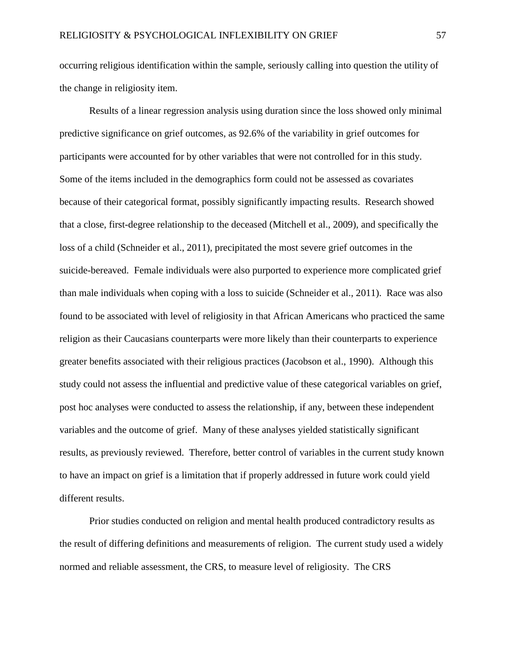occurring religious identification within the sample, seriously calling into question the utility of the change in religiosity item.

Results of a linear regression analysis using duration since the loss showed only minimal predictive significance on grief outcomes, as 92.6% of the variability in grief outcomes for participants were accounted for by other variables that were not controlled for in this study. Some of the items included in the demographics form could not be assessed as covariates because of their categorical format, possibly significantly impacting results. Research showed that a close, first-degree relationship to the deceased (Mitchell et al., 2009), and specifically the loss of a child (Schneider et al., 2011), precipitated the most severe grief outcomes in the suicide-bereaved. Female individuals were also purported to experience more complicated grief than male individuals when coping with a loss to suicide (Schneider et al., 2011). Race was also found to be associated with level of religiosity in that African Americans who practiced the same religion as their Caucasians counterparts were more likely than their counterparts to experience greater benefits associated with their religious practices (Jacobson et al., 1990). Although this study could not assess the influential and predictive value of these categorical variables on grief, post hoc analyses were conducted to assess the relationship, if any, between these independent variables and the outcome of grief. Many of these analyses yielded statistically significant results, as previously reviewed. Therefore, better control of variables in the current study known to have an impact on grief is a limitation that if properly addressed in future work could yield different results.

Prior studies conducted on religion and mental health produced contradictory results as the result of differing definitions and measurements of religion. The current study used a widely normed and reliable assessment, the CRS, to measure level of religiosity. The CRS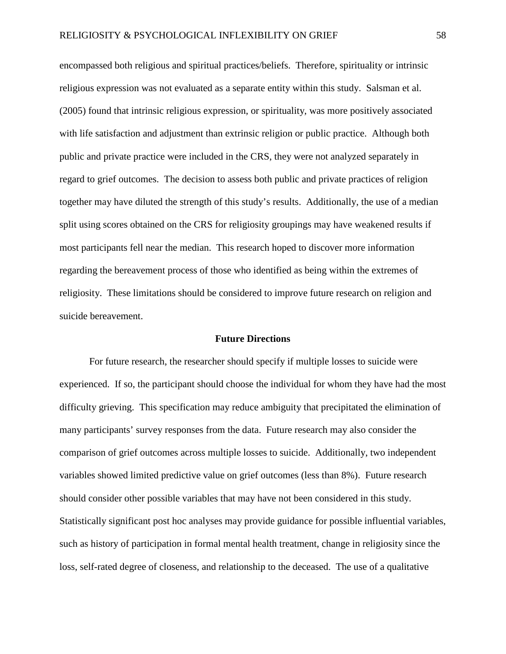encompassed both religious and spiritual practices/beliefs. Therefore, spirituality or intrinsic religious expression was not evaluated as a separate entity within this study. Salsman et al. (2005) found that intrinsic religious expression, or spirituality, was more positively associated with life satisfaction and adjustment than extrinsic religion or public practice. Although both public and private practice were included in the CRS, they were not analyzed separately in regard to grief outcomes. The decision to assess both public and private practices of religion together may have diluted the strength of this study's results. Additionally, the use of a median split using scores obtained on the CRS for religiosity groupings may have weakened results if most participants fell near the median. This research hoped to discover more information regarding the bereavement process of those who identified as being within the extremes of religiosity. These limitations should be considered to improve future research on religion and suicide bereavement.

### **Future Directions**

For future research, the researcher should specify if multiple losses to suicide were experienced. If so, the participant should choose the individual for whom they have had the most difficulty grieving. This specification may reduce ambiguity that precipitated the elimination of many participants' survey responses from the data. Future research may also consider the comparison of grief outcomes across multiple losses to suicide. Additionally, two independent variables showed limited predictive value on grief outcomes (less than 8%). Future research should consider other possible variables that may have not been considered in this study. Statistically significant post hoc analyses may provide guidance for possible influential variables, such as history of participation in formal mental health treatment, change in religiosity since the loss, self-rated degree of closeness, and relationship to the deceased. The use of a qualitative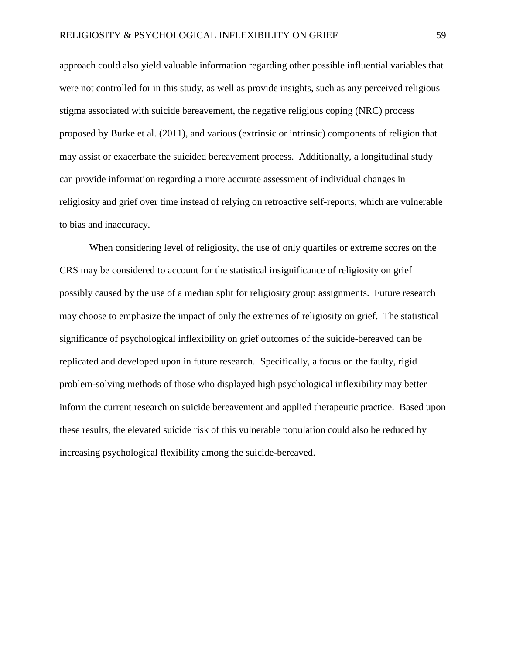approach could also yield valuable information regarding other possible influential variables that were not controlled for in this study, as well as provide insights, such as any perceived religious stigma associated with suicide bereavement, the negative religious coping (NRC) process proposed by Burke et al. (2011), and various (extrinsic or intrinsic) components of religion that may assist or exacerbate the suicided bereavement process. Additionally, a longitudinal study can provide information regarding a more accurate assessment of individual changes in religiosity and grief over time instead of relying on retroactive self-reports, which are vulnerable to bias and inaccuracy.

When considering level of religiosity, the use of only quartiles or extreme scores on the CRS may be considered to account for the statistical insignificance of religiosity on grief possibly caused by the use of a median split for religiosity group assignments.Future research may choose to emphasize the impact of only the extremes of religiosity on grief. The statistical significance of psychological inflexibility on grief outcomes of the suicide-bereaved can be replicated and developed upon in future research. Specifically, a focus on the faulty, rigid problem-solving methods of those who displayed high psychological inflexibility may better inform the current research on suicide bereavement and applied therapeutic practice. Based upon these results, the elevated suicide risk of this vulnerable population could also be reduced by increasing psychological flexibility among the suicide-bereaved.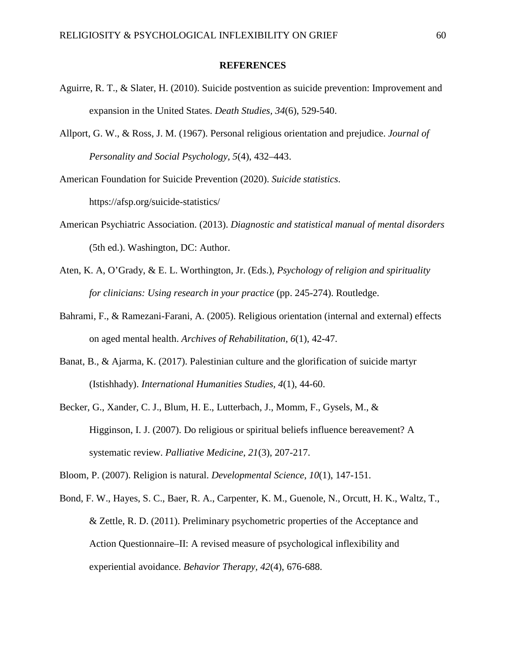#### **REFERENCES**

- Aguirre, R. T., & Slater, H. (2010). Suicide postvention as suicide prevention: Improvement and expansion in the United States. *Death Studies, 34*(6), 529-540.
- Allport, G. W., & Ross, J. M. (1967). Personal religious orientation and prejudice. *Journal of Personality and Social Psychology, 5*(4), 432–443.

American Foundation for Suicide Prevention (2020). *Suicide statistics*. https://afsp.org/suicide-statistics/

- American Psychiatric Association. (2013). *Diagnostic and statistical manual of mental disorders* (5th ed.). Washington, DC: Author.
- Aten, K. A, O'Grady, & E. L. Worthington, Jr. (Eds.), *Psychology of religion and spirituality for clinicians: Using research in your practice* (pp. 245-274). Routledge.
- Bahrami, F., & Ramezani-Farani, A. (2005). Religious orientation (internal and external) effects on aged mental health. *Archives of Rehabilitation*, *6*(1), 42-47.
- Banat, B., & Ajarma, K. (2017). Palestinian culture and the glorification of suicide martyr (Istishhady). *International Humanities Studies, 4*(1), 44-60.
- Becker, G., Xander, C. J., Blum, H. E., Lutterbach, J., Momm, F., Gysels, M., & Higginson, I. J. (2007). Do religious or spiritual beliefs influence bereavement? A systematic review. *Palliative Medicine*, *21*(3), 207-217.

Bloom, P. (2007). Religion is natural. *Developmental Science*, *10*(1), 147-151.

Bond, F. W., Hayes, S. C., Baer, R. A., Carpenter, K. M., Guenole, N., Orcutt, H. K., Waltz, T., & Zettle, R. D. (2011). Preliminary psychometric properties of the Acceptance and Action Questionnaire–II: A revised measure of psychological inflexibility and experiential avoidance. *Behavior Therapy, 42*(4), 676-688.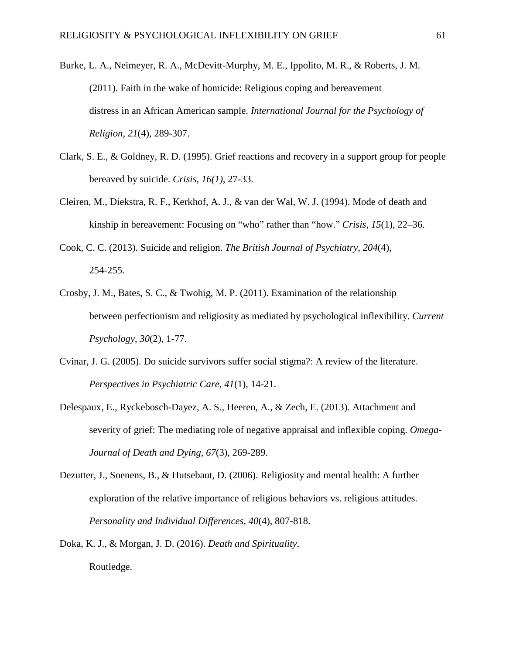- Burke, L. A., Neimeyer, R. A., McDevitt-Murphy, M. E., Ippolito, M. R., & Roberts, J. M. (2011). Faith in the wake of homicide: Religious coping and bereavement distress in an African American sample. *International Journal for the Psychology of Religion*, *21*(4), 289-307.
- Clark, S. E., & Goldney, R. D. (1995). Grief reactions and recovery in a support group for people bereaved by suicide. *Crisis, 16(1),* 27-33.
- Cleiren, M., Diekstra, R. F., Kerkhof, A. J., & van der Wal, W. J. (1994). Mode of death and kinship in bereavement: Focusing on "who" rather than "how." *Crisis*, *15*(1), 22–36.
- Cook, C. C. (2013). Suicide and religion. *The British Journal of Psychiatry*, *204*(4), 254-255.
- Crosby, J. M., Bates, S. C., & Twohig, M. P. (2011). Examination of the relationship between perfectionism and religiosity as mediated by psychological inflexibility. *Current Psychology*, *30*(2), 1-77.
- Cvinar, J. G. (2005). Do suicide survivors suffer social stigma?: A review of the literature. *Perspectives in Psychiatric Care, 41*(1), 14-21.
- Delespaux, E., Ryckebosch-Dayez, A. S., Heeren, A., & Zech, E. (2013). Attachment and severity of grief: The mediating role of negative appraisal and inflexible coping. *Omega-Journal of Death and Dying*, *67*(3), 269-289.
- Dezutter, J., Soenens, B., & Hutsebaut, D. (2006). Religiosity and mental health: A further exploration of the relative importance of religious behaviors vs. religious attitudes. *Personality and Individual Differences, 40*(4), 807-818.
- Doka, K. J., & Morgan, J. D. (2016). *Death and Spirituality*. Routledge.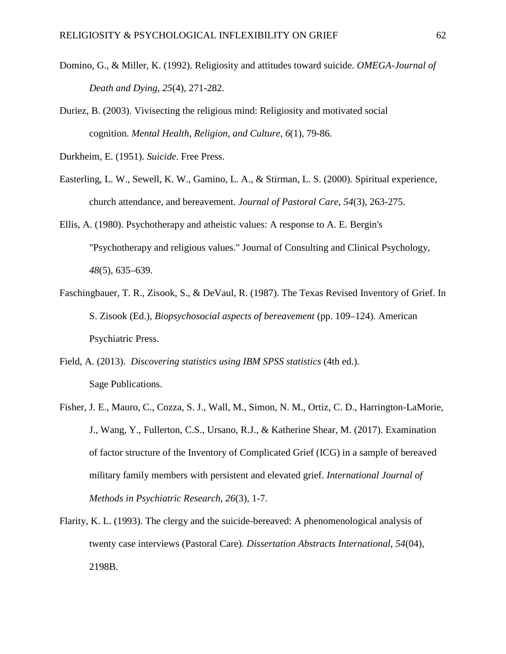- Domino, G., & Miller, K. (1992). Religiosity and attitudes toward suicide. *OMEGA-Journal of Death and Dying, 25*(4), 271-282.
- Duriez, B. (2003). Vivisecting the religious mind: Religiosity and motivated social cognition. *Mental Health, Religion, and Culture*, *6*(1), 79-86.
- Durkheim, E. (1951). *Suicide*. Free Press.
- Easterling, L. W., Sewell, K. W., Gamino, L. A., & Stirman, L. S. (2000). Spiritual experience, church attendance, and bereavement. *Journal of Pastoral Care*, *54*(3), 263-275.
- Ellis, A. (1980). Psychotherapy and atheistic values: A response to A. E. Bergin's "Psychotherapy and religious values." Journal of Consulting and Clinical Psychology, *48*(5), 635–639.
- Faschingbauer, T. R., Zisook, S., & DeVaul, R. (1987). The Texas Revised Inventory of Grief. In S. Zisook (Ed.), *Biopsychosocial aspects of bereavement* (pp. 109–124). American Psychiatric Press.
- Field, A. (2013). *Discovering statistics using IBM SPSS statistics* (4th ed.). Sage Publications.
- Fisher, J. E., Mauro, C., Cozza, S. J., Wall, M., Simon, N. M., Ortiz, C. D., Harrington-LaMorie, J., Wang, Y., Fullerton, C.S., Ursano, R.J., & Katherine Shear, M. (2017). Examination of factor structure of the Inventory of Complicated Grief (ICG) in a sample of bereaved military family members with persistent and elevated grief. *International Journal of Methods in Psychiatric Research, 26*(3), 1-7.
- Flarity, K. L. (1993). The clergy and the suicide-bereaved: A phenomenological analysis of twenty case interviews (Pastoral Care). *Dissertation Abstracts International, 54*(04), 2198B.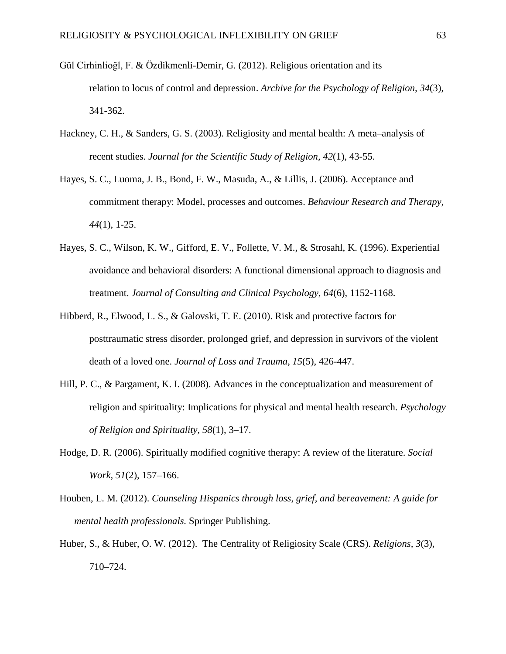- Gül Cirhinlioğl, F. & Özdikmenli-Demir, G. (2012). Religious orientation and its relation to locus of control and depression. *Archive for the Psychology of Religion, 34*(3)*,* 341-362.
- Hackney, C. H., & Sanders, G. S. (2003). Religiosity and mental health: A meta–analysis of recent studies. *Journal for the Scientific Study of Religion, 42*(1), 43-55.
- Hayes, S. C., Luoma, J. B., Bond, F. W., Masuda, A., & Lillis, J. (2006). Acceptance and commitment therapy: Model, processes and outcomes. *Behaviour Research and Therapy, 44*(1), 1-25.
- Hayes, S. C., Wilson, K. W., Gifford, E. V., Follette, V. M., & Strosahl, K. (1996). Experiential avoidance and behavioral disorders: A functional dimensional approach to diagnosis and treatment. *Journal of Consulting and Clinical Psychology, 64*(6), 1152-1168.
- Hibberd, R., Elwood, L. S., & Galovski, T. E. (2010). Risk and protective factors for posttraumatic stress disorder, prolonged grief, and depression in survivors of the violent death of a loved one. *Journal of Loss and Trauma*, *15*(5), 426-447.
- Hill, P. C., & Pargament, K. I. (2008). Advances in the conceptualization and measurement of religion and spirituality: Implications for physical and mental health research. *Psychology of Religion and Spirituality, 58*(1), 3–17.
- Hodge, D. R. (2006). Spiritually modified cognitive therapy: A review of the literature. *Social Work, 51*(2), 157–166.
- Houben, L. M. (2012). *Counseling Hispanics through loss, grief, and bereavement: A guide for mental health professionals.* Springer Publishing.
- Huber, S., & Huber, O. W. (2012). The Centrality of Religiosity Scale (CRS). *Religions, 3*(3), 710–724.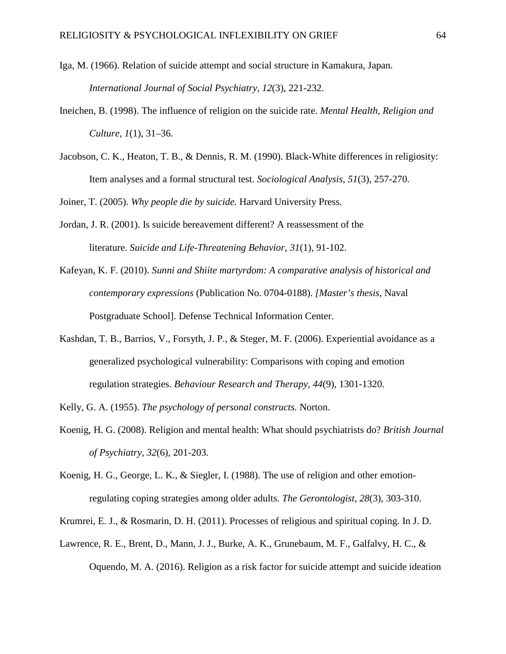- Iga, M. (1966). Relation of suicide attempt and social structure in Kamakura, Japan. *International Journal of Social Psychiatry, 12*(3), 221-232.
- Ineichen, B. (1998). The influence of religion on the suicide rate. *Mental Health, Religion and Culture, 1*(1), 31–36.
- Jacobson, C. K., Heaton, T. B., & Dennis, R. M. (1990). Black-White differences in religiosity: Item analyses and a formal structural test. *Sociological Analysis, 51*(3), 257-270.

Joiner, T. (2005). *Why people die by suicide.* Harvard University Press.

- Jordan, J. R. (2001). Is suicide bereavement different? A reassessment of the literature. *Suicide and Life-Threatening Behavior*, *31*(1), 91-102.
- Kafeyan, K. F. (2010). *Sunni and Shiite martyrdom: A comparative analysis of historical and contemporary expressions* (Publication No. 0704-0188). *[Master's thesis,* Naval Postgraduate School]. Defense Technical Information Center.
- Kashdan, T. B., Barrios, V., Forsyth, J. P., & Steger, M. F. (2006). Experiential avoidance as a generalized psychological vulnerability: Comparisons with coping and emotion regulation strategies. *Behaviour Research and Therapy, 44*(9), 1301-1320.

Kelly, G. A. (1955). *The psychology of personal constructs.* Norton.

- Koenig, H. G. (2008). Religion and mental health: What should psychiatrists do? *British Journal of Psychiatry, 32*(6), 201-203.
- Koenig, H. G., George, L. K., & Siegler, I. (1988). The use of religion and other emotionregulating coping strategies among older adults. *The Gerontologist, 28*(3), 303-310.
- Krumrei, E. J., & Rosmarin, D. H. (2011). Processes of religious and spiritual coping. In J. D.
- Lawrence, R. E., Brent, D., Mann, J. J., Burke, A. K., Grunebaum, M. F., Galfalvy, H. C., & Oquendo, M. A. (2016). Religion as a risk factor for suicide attempt and suicide ideation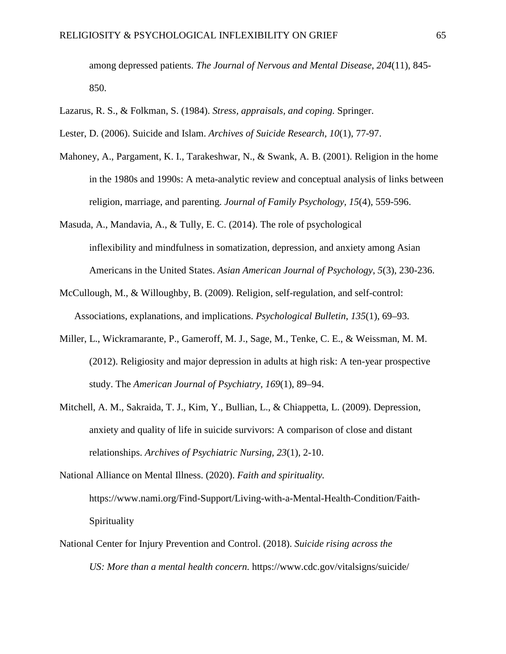among depressed patients. *The Journal of Nervous and Mental Disease*, *204*(11), 845- 850.

- Lazarus, R. S., & Folkman, S. (1984). *Stress, appraisals, and coping.* Springer.
- Lester, D. (2006). Suicide and Islam. *Archives of Suicide Research, 10*(1), 77-97.
- Mahoney, A., Pargament, K. I., Tarakeshwar, N., & Swank, A. B. (2001). Religion in the home in the 1980s and 1990s: A meta-analytic review and conceptual analysis of links between religion, marriage, and parenting. *Journal of Family Psychology, 15*(4), 559-596.
- Masuda, A., Mandavia, A., & Tully, E. C. (2014). The role of psychological inflexibility and mindfulness in somatization, depression, and anxiety among Asian Americans in the United States. *Asian American Journal of Psychology*, *5*(3), 230-236.
- McCullough, M., & Willoughby, B. (2009). Religion, self-regulation, and self-control: Associations, explanations, and implications. *Psychological Bulletin*, *135*(1), 69–93.
- Miller, L., Wickramarante, P., Gameroff, M. J., Sage, M., Tenke, C. E., & Weissman, M. M. (2012). Religiosity and major depression in adults at high risk: A ten-year prospective study. The *American Journal of Psychiatry, 169*(1), 89–94.
- Mitchell, A. M., Sakraida, T. J., Kim, Y., Bullian, L., & Chiappetta, L. (2009). Depression, anxiety and quality of life in suicide survivors: A comparison of close and distant relationships. *Archives of Psychiatric Nursing, 23*(1), 2-10.
- National Alliance on Mental Illness. (2020). *Faith and spirituality.*  https://www.nami.org/Find-Support/Living-with-a-Mental-Health-Condition/Faith-Spirituality
- National Center for Injury Prevention and Control. (2018). *Suicide rising across the US: More than a mental health concern.* https://www.cdc.gov/vitalsigns/suicide/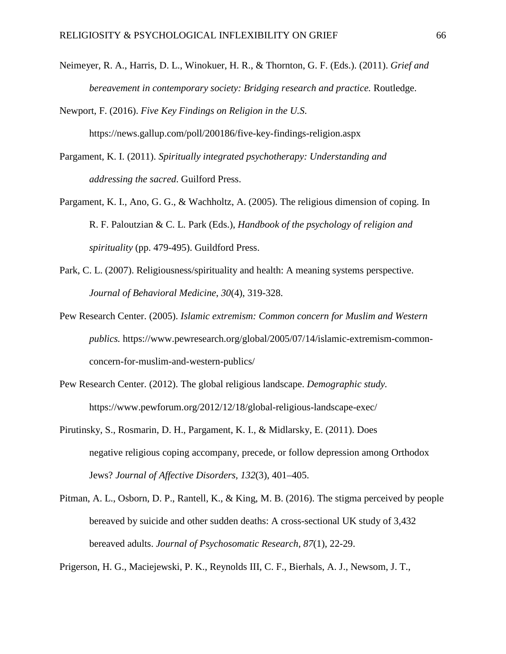Neimeyer, R. A., Harris, D. L., Winokuer, H. R., & Thornton, G. F. (Eds.). (2011). *Grief and bereavement in contemporary society: Bridging research and practice.* Routledge.

Newport, F. (2016). *Five Key Findings on Religion in the U.S*.

https://news.gallup.com/poll/200186/five-key-findings-religion.aspx

- Pargament, K. I. (2011). *Spiritually integrated psychotherapy: Understanding and addressing the sacred*. Guilford Press.
- Pargament, K. I., Ano, G. G., & Wachholtz, A. (2005). The religious dimension of coping. In R. F. Paloutzian & C. L. Park (Eds.), *Handbook of the psychology of religion and spirituality* (pp. 479-495). Guildford Press.
- Park, C. L. (2007). Religiousness/spirituality and health: A meaning systems perspective. *Journal of Behavioral Medicine*, *30*(4), 319-328.
- Pew Research Center. (2005). *Islamic extremism: Common concern for Muslim and Western publics.* https://www.pewresearch.org/global/2005/07/14/islamic-extremism-commonconcern-for-muslim-and-western-publics/
- Pew Research Center. (2012). The global religious landscape. *Demographic study.*  https://www.pewforum.org/2012/12/18/global-religious-landscape-exec/
- Pirutinsky, S., Rosmarin, D. H., Pargament, K. I., & Midlarsky, E. (2011). Does negative religious coping accompany, precede, or follow depression among Orthodox Jews? *Journal of Affective Disorders, 132*(3), 401–405.
- Pitman, A. L., Osborn, D. P., Rantell, K., & King, M. B. (2016). The stigma perceived by people bereaved by suicide and other sudden deaths: A cross-sectional UK study of 3,432 bereaved adults. *Journal of Psychosomatic Research, 87*(1), 22-29.

Prigerson, H. G., Maciejewski, P. K., Reynolds III, C. F., Bierhals, A. J., Newsom, J. T.,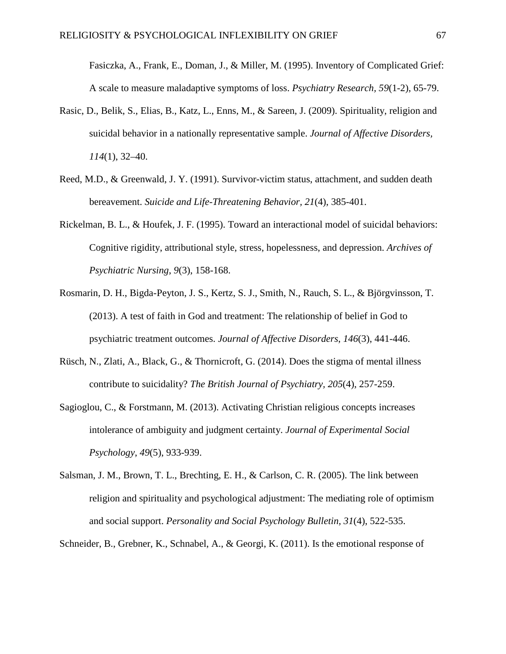Fasiczka, A., Frank, E., Doman, J., & Miller, M. (1995). Inventory of Complicated Grief: A scale to measure maladaptive symptoms of loss. *Psychiatry Research, 59*(1-2), 65-79.

- Rasic, D., Belik, S., Elias, B., Katz, L., Enns, M., & Sareen, J. (2009). Spirituality, religion and suicidal behavior in a nationally representative sample. *Journal of Affective Disorders, 114*(1), 32–40.
- Reed, M.D., & Greenwald, J. Y. (1991). Survivor-victim status, attachment, and sudden death bereavement. *Suicide and Life-Threatening Behavior, 21*(4), 385-401.
- Rickelman, B. L., & Houfek, J. F. (1995). Toward an interactional model of suicidal behaviors: Cognitive rigidity, attributional style, stress, hopelessness, and depression. *Archives of Psychiatric Nursing*, *9*(3), 158-168.
- Rosmarin, D. H., Bigda-Peyton, J. S., Kertz, S. J., Smith, N., Rauch, S. L., & Björgvinsson, T. (2013). A test of faith in God and treatment: The relationship of belief in God to psychiatric treatment outcomes. *Journal of Affective Disorders*, *146*(3), 441-446.
- Rüsch, N., Zlati, A., Black, G., & Thornicroft, G. (2014). Does the stigma of mental illness contribute to suicidality? *The British Journal of Psychiatry, 205*(4), 257-259.
- Sagioglou, C., & Forstmann, M. (2013). Activating Christian religious concepts increases intolerance of ambiguity and judgment certainty. *Journal of Experimental Social Psychology*, *49*(5), 933-939.
- Salsman, J. M., Brown, T. L., Brechting, E. H., & Carlson, C. R. (2005). The link between religion and spirituality and psychological adjustment: The mediating role of optimism and social support. *Personality and Social Psychology Bulletin, 31*(4), 522-535.

Schneider, B., Grebner, K., Schnabel, A., & Georgi, K. (2011). Is the emotional response of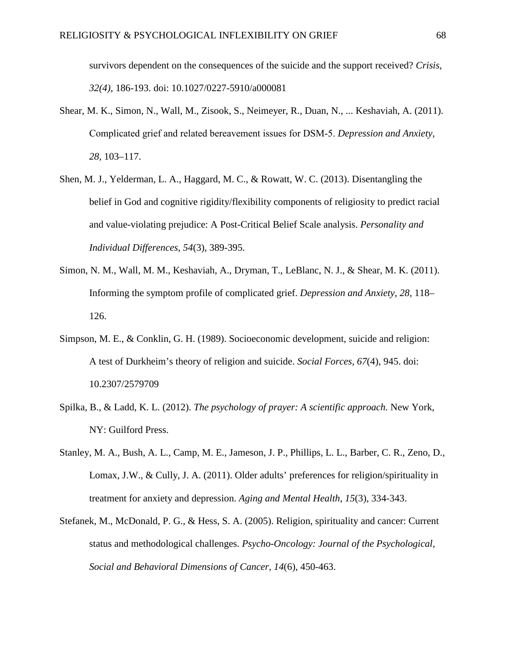survivors dependent on the consequences of the suicide and the support received? *Crisis, 32(4),* 186-193. doi: 10.1027/0227-5910/a000081

- Shear, M. K., Simon, N., Wall, M., Zisook, S., Neimeyer, R., Duan, N., ... Keshaviah, A. (2011). Complicated grief and related bereavement issues for DSM‐5. *Depression and Anxiety, 28*, 103–117.
- Shen, M. J., Yelderman, L. A., Haggard, M. C., & Rowatt, W. C. (2013). Disentangling the belief in God and cognitive rigidity/flexibility components of religiosity to predict racial and value-violating prejudice: A Post-Critical Belief Scale analysis. *Personality and Individual Differences*, *54*(3), 389-395.
- Simon, N. M., Wall, M. M., Keshaviah, A., Dryman, T., LeBlanc, N. J., & Shear, M. K. (2011). Informing the symptom profile of complicated grief. *Depression and Anxiety, 28*, 118– 126.
- Simpson, M. E., & Conklin, G. H. (1989). Socioeconomic development, suicide and religion: A test of Durkheim's theory of religion and suicide. *Social Forces, 67*(4), 945. doi: 10.2307/2579709
- Spilka, B., & Ladd, K. L. (2012). *The psychology of prayer: A scientific approach.* New York, NY: Guilford Press.
- Stanley, M. A., Bush, A. L., Camp, M. E., Jameson, J. P., Phillips, L. L., Barber, C. R., Zeno, D., Lomax, J.W., & Cully, J. A. (2011). Older adults' preferences for religion/spirituality in treatment for anxiety and depression. *Aging and Mental Health*, *15*(3), 334-343.
- Stefanek, M., McDonald, P. G., & Hess, S. A. (2005). Religion, spirituality and cancer: Current status and methodological challenges. *Psycho-Oncology: Journal of the Psychological, Social and Behavioral Dimensions of Cancer, 14*(6), 450-463.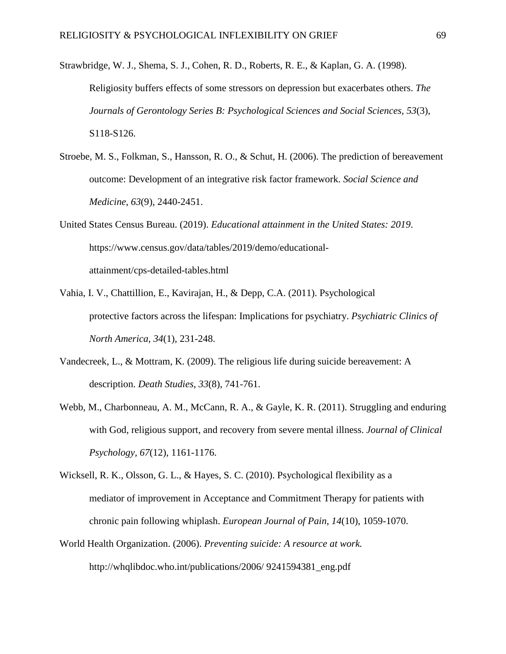- Strawbridge, W. J., Shema, S. J., Cohen, R. D., Roberts, R. E., & Kaplan, G. A. (1998). Religiosity buffers effects of some stressors on depression but exacerbates others. *The Journals of Gerontology Series B: Psychological Sciences and Social Sciences, 53*(3), S118-S126.
- Stroebe, M. S., Folkman, S., Hansson, R. O., & Schut, H. (2006). The prediction of bereavement outcome: Development of an integrative risk factor framework. *Social Science and Medicine*, *63*(9), 2440-2451.
- United States Census Bureau. (2019). *Educational attainment in the United States: 2019*. https://www.census.gov/data/tables/2019/demo/educationalattainment/cps-detailed-tables.html
- Vahia, I. V., Chattillion, E., Kavirajan, H., & Depp, C.A. (2011). Psychological protective factors across the lifespan: Implications for psychiatry. *Psychiatric Clinics of North America*, *34*(1), 231-248.
- Vandecreek, L., & Mottram, K. (2009). The religious life during suicide bereavement: A description. *Death Studies*, *33*(8), 741-761.
- Webb, M., Charbonneau, A. M., McCann, R. A., & Gayle, K. R. (2011). Struggling and enduring with God, religious support, and recovery from severe mental illness. *Journal of Clinical Psychology, 67*(12), 1161-1176.
- Wicksell, R. K., Olsson, G. L., & Hayes, S. C. (2010). Psychological flexibility as a mediator of improvement in Acceptance and Commitment Therapy for patients with chronic pain following whiplash. *European Journal of Pain*, *14*(10), 1059-1070.
- World Health Organization. (2006). *Preventing suicide: A resource at work.* http://whqlibdoc.who.int/publications/2006/ 9241594381\_eng.pdf